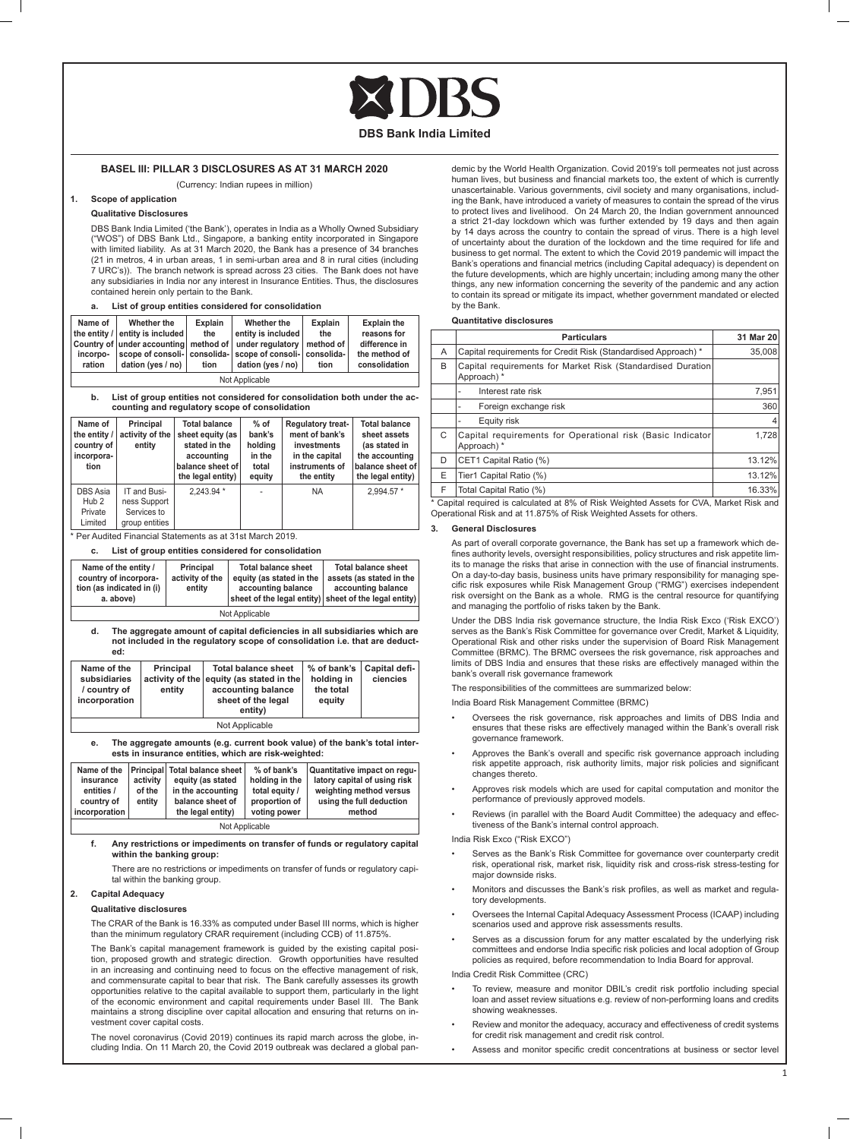

# **BASEL III: PILLAR 3 DISCLOSURES AS AT 31 MARCH 2020**

(Currency: Indian rupees in million)

# **1. Scope of application**

# **Qualitative Disclosures**

 DBS Bank India Limited ('the Bank'), operates in India as a Wholly Owned Subsidiary ("WOS") of DBS Bank Ltd., Singapore, a banking entity incorporated in Singapore with limited liability. As at 31 March 2020, the Bank has a presence of 34 branches (21 in metros, 4 in urban areas, 1 in semi-urban area and 8 in rural cities (including 7 URC's)). The branch network is spread across 23 cities. The Bank does not have any subsidiaries in India nor any interest in Insurance Entities. Thus, the disclosures contained herein only pertain to the Bank.

| a. |  |  |  | List of group entities considered for consolidation |
|----|--|--|--|-----------------------------------------------------|
|----|--|--|--|-----------------------------------------------------|

| Name of        | Whether the                                                      | Explain | Whether the                                               | <b>Explain</b> | <b>Explain the</b> |
|----------------|------------------------------------------------------------------|---------|-----------------------------------------------------------|----------------|--------------------|
|                | the entity / entity is included                                  | the     | entity is included                                        | the            | reasons for        |
|                | Country of under accounting method of under regulatory method of |         |                                                           |                | difference in      |
| incorpo-       |                                                                  |         | scope of consoli- consolida- scope of consoli- consolida- |                | the method of      |
| ration         | dation (ves / no) $\vert$                                        | tion    | dation (ves / no)                                         | tion           | consolidation      |
| Not Applicable |                                                                  |         |                                                           |                |                    |

**b. List of group entities not considered for consolidation both under the accounting and regulatory scope of consolidation**

| Name of<br>the entity /<br>country of<br>incorpora-<br>tion | Principal<br>activity of the<br>entitv                        | <b>Total balance</b><br>sheet equity (as<br>stated in the<br>accounting<br>balance sheet of<br>the legal entity) | $%$ of<br>bank's<br>holding<br>in the<br>total<br>equity | Regulatory treat-<br>ment of bank's<br>investments<br>in the capital<br>instruments of<br>the entity | <b>Total balance</b><br>sheet assets<br>(as stated in<br>the accounting<br>balance sheet of<br>the legal entity) |
|-------------------------------------------------------------|---------------------------------------------------------------|------------------------------------------------------------------------------------------------------------------|----------------------------------------------------------|------------------------------------------------------------------------------------------------------|------------------------------------------------------------------------------------------------------------------|
| DBS Asia<br>Hub <sub>2</sub><br>Private<br>Limited          | IT and Busi-<br>ness Support<br>Services to<br>group entities | 2.243.94 *                                                                                                       |                                                          | <b>NA</b>                                                                                            | 2.994.57 *                                                                                                       |

\* Per Audited Financial Statements as at 31st March 2019.

# **c. List of group entities considered for consolidation**

| Name of the entity /<br>country of incorpora-<br>tion (as indicated in $(i)$ )<br>a. above) | Principal<br>activity of the<br>entity | <b>Total balance sheet</b><br>equity (as stated in the<br>accounting balance<br>sheet of the legal entity) sheet of the legal entity) | <b>Total balance sheet</b><br>assets (as stated in the<br>accounting balance |  |
|---------------------------------------------------------------------------------------------|----------------------------------------|---------------------------------------------------------------------------------------------------------------------------------------|------------------------------------------------------------------------------|--|
| Not Applicable                                                                              |                                        |                                                                                                                                       |                                                                              |  |

 **d. The aggregate amount of capital deficiencies in all subsidiaries which are not included in the regulatory scope of consolidation i.e. that are deducted:**

| Name of the<br>subsidiaries<br>/ country of<br>incorporation | Principal<br>entity | <b>Total balance sheet</b><br>activity of the equity (as stated in the<br>accounting balance<br>sheet of the legal<br>entity) | holding in<br>the total<br>equity | % of bank's   Capital defi-<br>ciencies |
|--------------------------------------------------------------|---------------------|-------------------------------------------------------------------------------------------------------------------------------|-----------------------------------|-----------------------------------------|
|                                                              |                     | Net Applicable                                                                                                                |                                   |                                         |

Not Applicable

**e. The aggregate amounts (e.g. current book value) of the bank's total interests in insurance entities, which are risk-weighted:**

| Name of the    |          | <b>Principal Total balance sheet  </b> | % of bank's    | Quantitative impact on regu- |  |
|----------------|----------|----------------------------------------|----------------|------------------------------|--|
| insurance      | activity | equity (as stated                      | holding in the | latory capital of using risk |  |
| entities /     | of the   | in the accounting                      | total equity / | weighting method versus      |  |
| country of     | entity   | balance sheet of                       | proportion of  | using the full deduction     |  |
| incorporation  |          | the legal entity)                      | voting power   | method                       |  |
| Not Applicable |          |                                        |                |                              |  |

## **f. Any restrictions or impediments on transfer of funds or regulatory capital within the banking group:**

 There are no restrictions or impediments on transfer of funds or regulatory capital within the banking group.

# **2. Capital Adequacy**

#### **Qualitative disclosures**

 The CRAR of the Bank is 16.33% as computed under Basel III norms, which is higher than the minimum regulatory CRAR requirement (including CCB) of 11.875%.

 The Bank's capital management framework is guided by the existing capital position, proposed growth and strategic direction. Growth opportunities have resulted in an increasing and continuing need to focus on the effective management of risk, and commensurate capital to bear that risk. The Bank carefully assesses its growth opportunities relative to the capital available to support them, particularly in the light of the economic environment and capital requirements under Basel III. The Bank maintains a strong discipline over capital allocation and ensuring that returns on investment cover capital costs.

 The novel coronavirus (Covid 2019) continues its rapid march across the globe, including India. On 11 March 20, the Covid 2019 outbreak was declared a global pandemic by the World Health Organization. Covid 2019's toll permeates not just across human lives, but business and financial markets too, the extent of which is currently unascertainable. Various governments, civil society and many organisations, including the Bank, have introduced a variety of measures to contain the spread of the virus to protect lives and livelihood. On 24 March 20, the Indian government announced a strict 21-day lockdown which was further extended by 19 days and then again by 14 days across the country to contain the spread of virus. There is a high level of uncertainty about the duration of the lockdown and the time required for life and business to get normal. The extent to which the Covid 2019 pandemic will impact the Bank's operations and financial metrics (including Capital adequacy) is dependent on the future developments, which are highly uncertain; including among many the other things, any new information concerning the severity of the pandemic and any action to contain its spread or mitigate its impact, whether government mandated or elected by the Bank.

# **Quantitative disclosures**

|    | <b>Particulars</b>                                                                    | 31 Mar 20 |
|----|---------------------------------------------------------------------------------------|-----------|
| A  | Capital requirements for Credit Risk (Standardised Approach) *                        | 35,008    |
| B  | Capital requirements for Market Risk (Standardised Duration<br>Approach) *            |           |
|    | Interest rate risk                                                                    | 7.951     |
|    | Foreign exchange risk                                                                 | 360       |
|    | Equity risk                                                                           |           |
| C  | Capital requirements for Operational risk (Basic Indicator<br>Approach) *             | 1.728     |
| D  | CET1 Capital Ratio (%)                                                                | 13.12%    |
| E  | Tier1 Capital Ratio (%)                                                               | 13.12%    |
| F. | Total Capital Ratio (%)                                                               | 16.33%    |
|    | Capital required is calculated at 8% of Risk Weighted Assets for CVA. Market Risk and |           |

\* Capital required is calculated at 8% of Risk Weighted Assets for CVA, Market Risk and Operational Risk and at 11.875% of Risk Weighted Assets for others.

# **3. General Disclosures**

 As part of overall corporate governance, the Bank has set up a framework which defines authority levels, oversight responsibilities, policy structures and risk appetite limits to manage the risks that arise in connection with the use of financial instruments. On a day-to-day basis, business units have primary responsibility for managing specific risk exposures while Risk Management Group ("RMG") exercises independent risk oversight on the Bank as a whole. RMG is the central resource for quantifying and managing the portfolio of risks taken by the Bank.

 Under the DBS India risk governance structure, the India Risk Exco ('Risk EXCO') serves as the Bank's Risk Committee for governance over Credit, Market & Liquidity, Operational Risk and other risks under the supervision of Board Risk Management Committee (BRMC). The BRMC oversees the risk governance, risk approaches and limits of DBS India and ensures that these risks are effectively managed within the bank's overall risk governance framework

The responsibilities of the committees are summarized below:

India Board Risk Management Committee (BRMC)

- Oversees the risk governance, risk approaches and limits of DBS India and ensures that these risks are effectively managed within the Bank's overall risk governance framework.
- Approves the Bank's overall and specific risk governance approach including risk appetite approach, risk authority limits, major risk policies and significant changes thereto.
- Approves risk models which are used for capital computation and monitor the performance of previously approved models.
- Reviews (in parallel with the Board Audit Committee) the adequacy and effectiveness of the Bank's internal control approach.

India Risk Exco ("Risk EXCO")

- Serves as the Bank's Risk Committee for governance over counterparty credit risk, operational risk, market risk, liquidity risk and cross-risk stress-testing for major downside risks.
- Monitors and discusses the Bank's risk profiles, as well as market and regulatory developments.
- Oversees the Internal Capital Adequacy Assessment Process (ICAAP) including scenarios used and approve risk assessments results.
- Serves as a discussion forum for any matter escalated by the underlying risk committees and endorse India specific risk policies and local adoption of Group policies as required, before recommendation to India Board for approval.

India Credit Risk Committee (CRC)

- To review, measure and monitor DBIL's credit risk portfolio including special loan and asset review situations e.g. review of non-performing loans and credits showing weaknesses
- Review and monitor the adequacy, accuracy and effectiveness of credit systems for credit risk management and credit risk control.
- Assess and monitor specific credit concentrations at business or sector level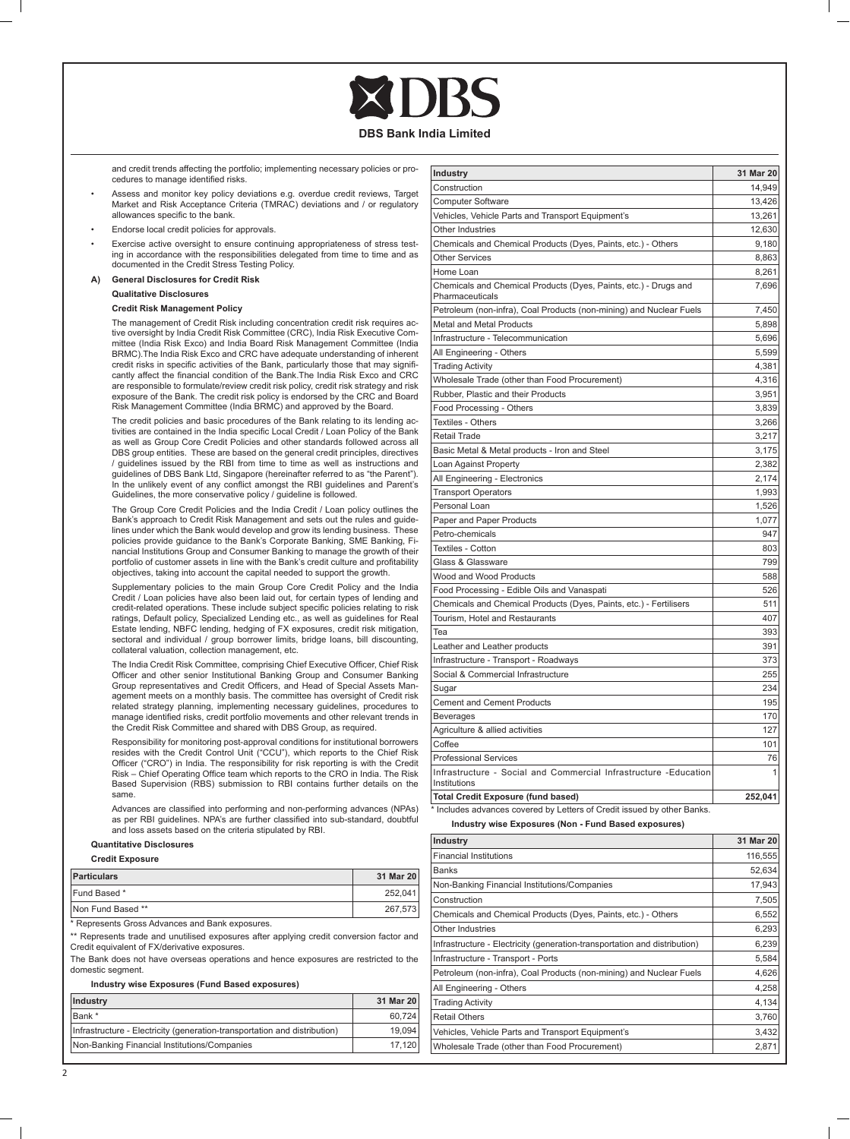and credit trends affecting the portfolio; implementing necessary policies or procedures to manage identified risks.

- Assess and monitor key policy deviations e.g. overdue credit reviews, Target Market and Risk Acceptance Criteria (TMRAC) deviations and / or regulatory allowances specific to the bank.
- Endorse local credit policies for approvals.
- Exercise active oversight to ensure continuing appropriateness of stress testing in accordance with the responsibilities delegated from time to time and as documented in the Credit Stress Testing Policy.
- **A) General Disclosures for Credit Risk Qualitative Disclosures**

# **Credit Risk Management Policy**

 The management of Credit Risk including concentration credit risk requires active oversight by India Credit Risk Committee (CRC), India Risk Executive Committee (India Risk Exco) and India Board Risk Management Committee (India BRMC). The India Risk Exco and CRC have adequate understanding of inherent credit risks in specific activities of the Bank, particularly those that may significantly affect the financial condition of the Bank.The India Risk Exco and CRC are responsible to formulate/review credit risk policy, credit risk strategy and risk exposure of the Bank. The credit risk policy is endorsed by the CRC and Board Risk Management Committee (India BRMC) and approved by the Board.

 The credit policies and basic procedures of the Bank relating to its lending activities are contained in the India specific Local Credit / Loan Policy of the Bank as well as Group Core Credit Policies and other standards followed across all DBS group entities. These are based on the general credit principles, directives / guidelines issued by the RBI from time to time as well as instructions and guidelines of DBS Bank Ltd, Singapore (hereinafter referred to as "the Parent"). In the unlikely event of any conflict amongst the RBI guidelines and Parent's Guidelines, the more conservative policy / guideline is followed.

 The Group Core Credit Policies and the India Credit / Loan policy outlines the Bank's approach to Credit Risk Management and sets out the rules and guidelines under which the Bank would develop and grow its lending business. These policies provide guidance to the Bank's Corporate Banking, SME Banking, Fi-nancial Institutions Group and Consumer Banking to manage the growth of their portfolio of customer assets in line with the Bank's credit culture and profitability objectives, taking into account the capital needed to support the growth.

 Supplementary policies to the main Group Core Credit Policy and the India Credit / Loan policies have also been laid out, for certain types of lending and credit-related operations. These include subject specific policies relating to risk ratings, Default policy, Specialized Lending etc., as well as guidelines for Real Estate lending, NBFC lending, hedging of FX exposures, credit risk mitigation, sectoral and individual / group borrower limits, bridge loans, bill discounting, collateral valuation, collection management, etc.

The India Credit Risk Committee, comprising Chief Executive Officer, Chief Risk Officer and other senior Institutional Banking Group and Consumer Banking Group representatives and Credit Officers, and Head of Special Assets Management meets on a monthly basis. The committee has oversight of Credit risk related strategy planning, implementing necessary guidelines, procedures to manage identified risks, credit portfolio movements and other relevant trends in the Credit Risk Committee and shared with DBS Group, as required.

 Responsibility for monitoring post-approval conditions for institutional borrowers resides with the Credit Control Unit ("CCU"), which reports to the Chief Risk Officer ("CRO") in India. The responsibility for risk reporting is with the Credit Risk – Chief Operating Office team which reports to the CRO in India. The Risk Based Supervision (RBS) submission to RBI contains further details on the same.

> Advances are classified into performing and non-performing advances (NPAs) as per RBI guidelines. NPA's are further classified into sub-standard, doubtful and loss assets based on the criteria stipulated by RBI.

## **Quantitative Disclosures**

#### **Credit Exposure**

| <b>Particulars</b> | 31 Mar 20 |
|--------------------|-----------|
| Fund Based *       | 252.041   |
| Non Fund Based **  | 267,573   |

\* Represents Gross Advances and Bank exposures.

\*\* Represents trade and unutilised exposures after applying credit conversion factor and Credit equivalent of FX/derivative exposures.

The Bank does not have overseas operations and hence exposures are restricted to the domestic segment.

#### **Industry wise Exposures (Fund Based exposures)**

| Industry                                                                  | 31 Mar 20 |
|---------------------------------------------------------------------------|-----------|
| Bank *                                                                    | 60.724    |
| Infrastructure - Electricity (generation-transportation and distribution) | 19.094    |
| Non-Banking Financial Institutions/Companies                              | 17.120    |

| <b>Industry</b>                                                                     | 31 Mar 20 |
|-------------------------------------------------------------------------------------|-----------|
| Construction                                                                        | 14,949    |
| <b>Computer Software</b>                                                            | 13,426    |
| Vehicles, Vehicle Parts and Transport Equipment's                                   | 13,261    |
| Other Industries                                                                    | 12,630    |
| Chemicals and Chemical Products (Dyes, Paints, etc.) - Others                       | 9,180     |
| <b>Other Services</b>                                                               | 8,863     |
| Home Loan                                                                           | 8.261     |
| Chemicals and Chemical Products (Dyes, Paints, etc.) - Drugs and<br>Pharmaceuticals | 7,696     |
| Petroleum (non-infra), Coal Products (non-mining) and Nuclear Fuels                 | 7,450     |
| Metal and Metal Products                                                            | 5,898     |
| Infrastructure - Telecommunication                                                  | 5,696     |
| All Engineering - Others                                                            | 5,599     |
| <b>Trading Activity</b>                                                             | 4,381     |
| Wholesale Trade (other than Food Procurement)                                       | 4,316     |
| Rubber, Plastic and their Products                                                  | 3,951     |
| Food Processing - Others                                                            | 3,839     |
| Textiles - Others                                                                   | 3,266     |
| Retail Trade                                                                        | 3.217     |
| Basic Metal & Metal products - Iron and Steel                                       | 3,175     |
| Loan Against Property                                                               | 2,382     |
| All Engineering - Electronics                                                       | 2,174     |
| <b>Transport Operators</b>                                                          | 1,993     |
| Personal Loan                                                                       | 1,526     |
| Paper and Paper Products                                                            | 1,077     |
| Petro-chemicals                                                                     | 947       |
| Textiles - Cotton                                                                   | 803       |
| Glass & Glassware                                                                   | 799       |
| Wood and Wood Products                                                              | 588       |
| Food Processing - Edible Oils and Vanaspati                                         | 526       |
| Chemicals and Chemical Products (Dyes, Paints, etc.) - Fertilisers                  | 511       |
| Tourism, Hotel and Restaurants                                                      | 407       |
| Tea                                                                                 | 393       |
| Leather and Leather products                                                        | 391       |
| Infrastructure - Transport - Roadways                                               | 373       |
| Social & Commercial Infrastructure                                                  | 255       |
| Sugar                                                                               | 234       |
| <b>Cement and Cement Products</b>                                                   | 195       |
| <b>Beverages</b>                                                                    | 170       |
| Agriculture & allied activities                                                     | 127       |
| Coffee                                                                              | 101       |
| <b>Professional Services</b>                                                        | 76        |
| Infrastructure - Social and Commercial Infrastructure -Education<br>Institutions    | 1         |
| <b>Total Credit Exposure (fund based)</b>                                           | 252,041   |

\* Includes advances covered by Letters of Credit issued by other Banks. **Industry wise Exposures (Non - Fund Based exposures)**

| Industry                                                                  | 31 Mar 20 |
|---------------------------------------------------------------------------|-----------|
| <b>Financial Institutions</b>                                             | 116,555   |
| <b>Banks</b>                                                              | 52,634    |
| Non-Banking Financial Institutions/Companies                              | 17,943    |
| Construction                                                              | 7,505     |
| Chemicals and Chemical Products (Dyes, Paints, etc.) - Others             | 6,552     |
| Other Industries                                                          | 6,293     |
| Infrastructure - Electricity (generation-transportation and distribution) | 6,239     |
| Infrastructure - Transport - Ports                                        | 5,584     |
| Petroleum (non-infra), Coal Products (non-mining) and Nuclear Fuels       | 4,626     |
| All Engineering - Others                                                  | 4,258     |
| <b>Trading Activity</b>                                                   | 4,134     |
| <b>Retail Others</b>                                                      | 3,760     |
| Vehicles, Vehicle Parts and Transport Equipment's                         | 3,432     |
| Wholesale Trade (other than Food Procurement)                             | 2,871     |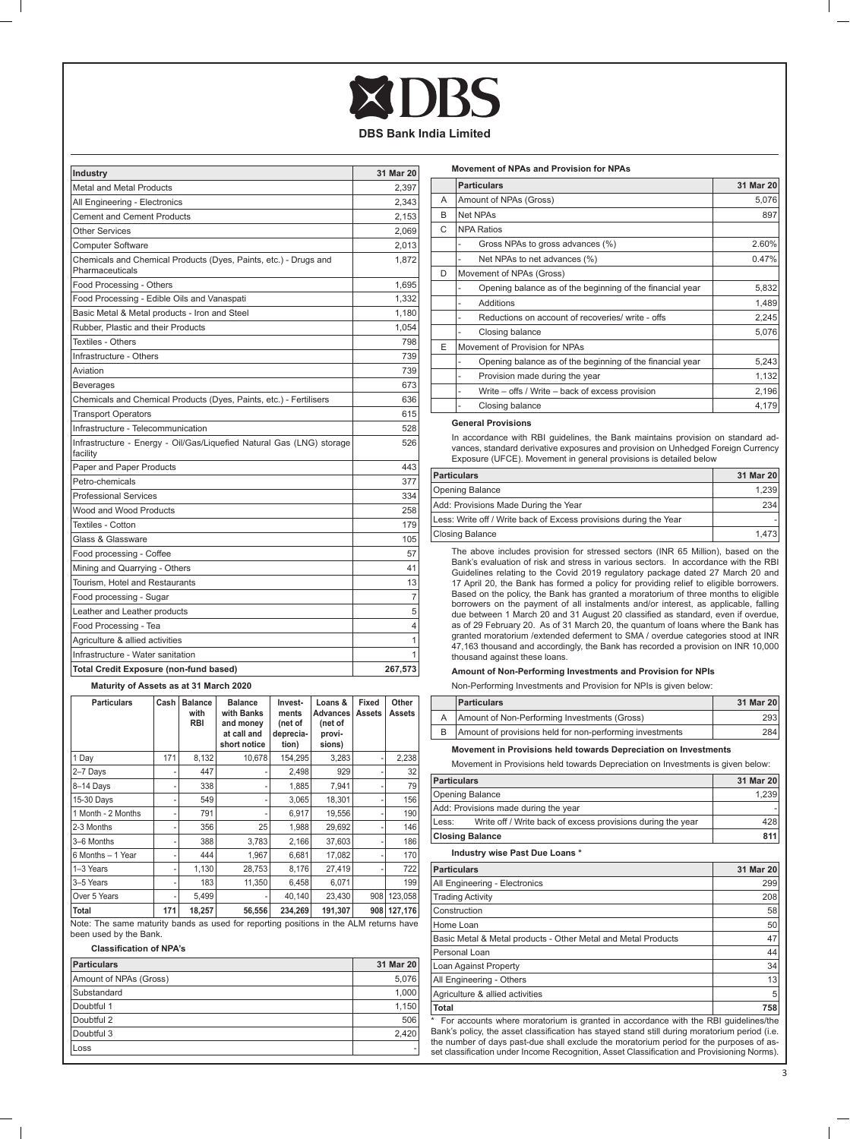| Industry                                                                            | 31 Mar 20      |
|-------------------------------------------------------------------------------------|----------------|
| <b>Metal and Metal Products</b>                                                     | 2.397          |
| All Engineering - Electronics                                                       | 2,343          |
| <b>Cement and Cement Products</b>                                                   | 2,153          |
| <b>Other Services</b>                                                               | 2,069          |
| Computer Software                                                                   | 2.013          |
| Chemicals and Chemical Products (Dyes, Paints, etc.) - Drugs and<br>Pharmaceuticals | 1.872          |
| Food Processing - Others                                                            | 1,695          |
| Food Processing - Edible Oils and Vanaspati                                         | 1.332          |
| Basic Metal & Metal products - Iron and Steel                                       | 1.180          |
| Rubber, Plastic and their Products                                                  | 1,054          |
| Textiles - Others                                                                   | 798            |
| Infrastructure - Others                                                             | 739            |
| Aviation                                                                            | 739            |
| <b>Beverages</b>                                                                    | 673            |
| Chemicals and Chemical Products (Dyes, Paints, etc.) - Fertilisers                  | 636            |
| <b>Transport Operators</b>                                                          | 615            |
| Infrastructure - Telecommunication                                                  | 528            |
| Infrastructure - Energy - Oil/Gas/Liquefied Natural Gas (LNG) storage<br>facility   | 526            |
| Paper and Paper Products                                                            | 443            |
| Petro-chemicals                                                                     | 377            |
| <b>Professional Services</b>                                                        | 334            |
| Wood and Wood Products                                                              | 258            |
| Textiles - Cotton                                                                   | 179            |
| Glass & Glassware                                                                   | 105            |
| Food processing - Coffee                                                            | 57             |
| Mining and Quarrying - Others                                                       | 41             |
| Tourism. Hotel and Restaurants                                                      | 13             |
| Food processing - Sugar                                                             | $\overline{7}$ |
| Leather and Leather products                                                        | 5              |
| Food Processing - Tea                                                               | $\overline{4}$ |
| Agriculture & allied activities                                                     | $\mathbf{1}$   |
| Infrastructure - Water sanitation                                                   | 1              |
| <b>Total Credit Exposure (non-fund based)</b>                                       | 267,573        |

# **Maturity of Assets as at 31 March 2020**

| <b>Particulars</b> | Cash | <b>Balance</b><br>with<br><b>RBI</b> | <b>Balance</b><br>with Banks<br>and money<br>at call and<br>short notice | Invest-<br>ments<br>(net of<br>deprecia-<br>tion) | Loans &<br><b>Advances</b><br>(net of<br>provi-<br>sions) | Fixed<br>Assets | Other<br>Assets |
|--------------------|------|--------------------------------------|--------------------------------------------------------------------------|---------------------------------------------------|-----------------------------------------------------------|-----------------|-----------------|
| 1 Day              | 171  | 8,132                                | 10,678                                                                   | 154,295                                           | 3,283                                                     |                 | 2,238           |
| 2-7 Days           |      | 447                                  |                                                                          | 2,498                                             | 929                                                       |                 | 32              |
| 8-14 Days          | ٠    | 338                                  |                                                                          | 1,885                                             | 7.941                                                     |                 | 79              |
| 15-30 Days         | ٠    | 549                                  |                                                                          | 3.065                                             | 18,301                                                    |                 | 156             |
| 1 Month - 2 Months | ٠    | 791                                  |                                                                          | 6,917                                             | 19,556                                                    |                 | 190             |
| 2-3 Months         | ٠    | 356                                  | 25                                                                       | 1,988                                             | 29,692                                                    |                 | 146             |
| 3-6 Months         | ٠    | 388                                  | 3,783                                                                    | 2,166                                             | 37,603                                                    |                 | 186             |
| 6 Months - 1 Year  | ٠    | 444                                  | 1.967                                                                    | 6,681                                             | 17,082                                                    |                 | 170             |
| 1-3 Years          | ٠    | 1,130                                | 28,753                                                                   | 8.176                                             | 27,419                                                    |                 | 722             |
| 3-5 Years          | ٠    | 183                                  | 11,350                                                                   | 6,458                                             | 6,071                                                     |                 | 199             |
| Over 5 Years       | ٠    | 5,499                                |                                                                          | 40.140                                            | 23,430                                                    | 908             | 123,058         |
| Total              | 171  | 18,257                               | 56,556                                                                   | 234.269                                           | 191,307                                                   |                 | 908 127,176     |

Note: The same maturity bands as used for reporting positions in the ALM returns have been used by the Bank.

# **Classification of NPA's**

| Particulars            | 31 Mar 20 |
|------------------------|-----------|
| Amount of NPAs (Gross) | 5,076     |
| Substandard            | 1,000     |
| Doubtful 1             | 1,150     |
| Doubtful 2             | 506       |
| Doubtful 3             | 2.420     |
| Loss                   |           |

| Movement of NPAs and Provision for NPAs |                                                           |           |
|-----------------------------------------|-----------------------------------------------------------|-----------|
|                                         | <b>Particulars</b>                                        | 31 Mar 20 |
| A                                       | Amount of NPAs (Gross)                                    | 5,076     |
| B                                       | Net NPAs                                                  | 897       |
| C                                       | <b>NPA Ratios</b>                                         |           |
|                                         | Gross NPAs to gross advances (%)                          | 2.60%     |
|                                         | Net NPAs to net advances (%)                              | 0.47%     |
| D                                       | Movement of NPAs (Gross)                                  |           |
|                                         | Opening balance as of the beginning of the financial year | 5,832     |
|                                         | Additions                                                 | 1,489     |
|                                         | Reductions on account of recoveries/ write - offs         | 2,245     |
|                                         | Closing balance                                           | 5,076     |
| E                                       | Movement of Provision for NPAs                            |           |
|                                         | Opening balance as of the beginning of the financial year | 5,243     |
|                                         | Provision made during the year<br>٠                       | 1,132     |
|                                         | Write – offs / Write – back of excess provision           | 2,196     |
|                                         | Closing balance                                           | 4,179     |

#### **General Provisions**

 In accordance with RBI guidelines, the Bank maintains provision on standard ad-vances, standard derivative exposures and provision on Unhedged Foreign Currency Exposure (UFCE). Movement in general provisions is detailed below

| <b>Particulars</b>                                                | 31 Mar 20 |
|-------------------------------------------------------------------|-----------|
| Opening Balance                                                   | 1.239     |
| Add: Provisions Made During the Year                              | 234       |
| Less: Write off / Write back of Excess provisions during the Year |           |
| <b>Closing Balance</b>                                            | 1.4731    |

 The above includes provision for stressed sectors (INR 65 Million), based on the Bank's evaluation of risk and stress in various sectors. In accordance with the RBI Guidelines relating to the Covid 2019 regulatory package dated 27 March 20 and 17 April 20, the Bank has formed a policy for providing relief to eligible borrowers.<br>Based on the policy, the Bank has granted a moratorium of three months to eligible<br>borrowers on the payment of all instalments and/or in due between 1 March 20 and 31 August 20 classified as standard, even if overdue, as of 29 February 20. As of 31 March 20, the quantum of loans where the Bank has granted moratorium /extended deferment to SMA / overdue categories stood at INR 47,163 thousand and accordingly, the Bank has recorded a provision on INR 10,000 thousand against these loans.

# **Amount of Non-Performing Investments and Provision for NPIs**

Non-Performing Investments and Provision for NPIs is given below:

| <b>Particulars</b>                                       | 31 Mar 20 |
|----------------------------------------------------------|-----------|
| Amount of Non-Performing Investments (Gross)             | 293       |
| Amount of provisions held for non-performing investments | 284       |

# **Movement in Provisions held towards Depreciation on Investments**

Movement in Provisions held towards Depreciation on Investments is given below:

| 31 Mar 20 |
|-----------|
| 1.239     |
|           |
| 428       |
| 811       |
|           |

### **Industry wise Past Due Loans \***

| <b>Particulars</b>                                                                 | 31 Mar 20 |
|------------------------------------------------------------------------------------|-----------|
| All Engineering - Electronics                                                      | 299       |
| <b>Trading Activity</b>                                                            | 208       |
| Construction                                                                       | 58        |
| Home Loan                                                                          | 50        |
| Basic Metal & Metal products - Other Metal and Metal Products                      | 47        |
| Personal Loan                                                                      | 44        |
| Loan Against Property                                                              | 34        |
| All Engineering - Others                                                           | 13        |
| Agriculture & allied activities                                                    | 5         |
| <b>Total</b>                                                                       | 758       |
| For accounts where moratorium is granted in accordance with the RBI quidelines/the |           |

\* For accounts where moratorium is granted in accordance with the RBI guidelines/the Bank's policy, the asset classification has stayed stand still during moratorium period (i.e. the number of days past-due shall exclude the moratorium period for the purposes of as-set classification under Income Recognition, Asset Classification and Provisioning Norms).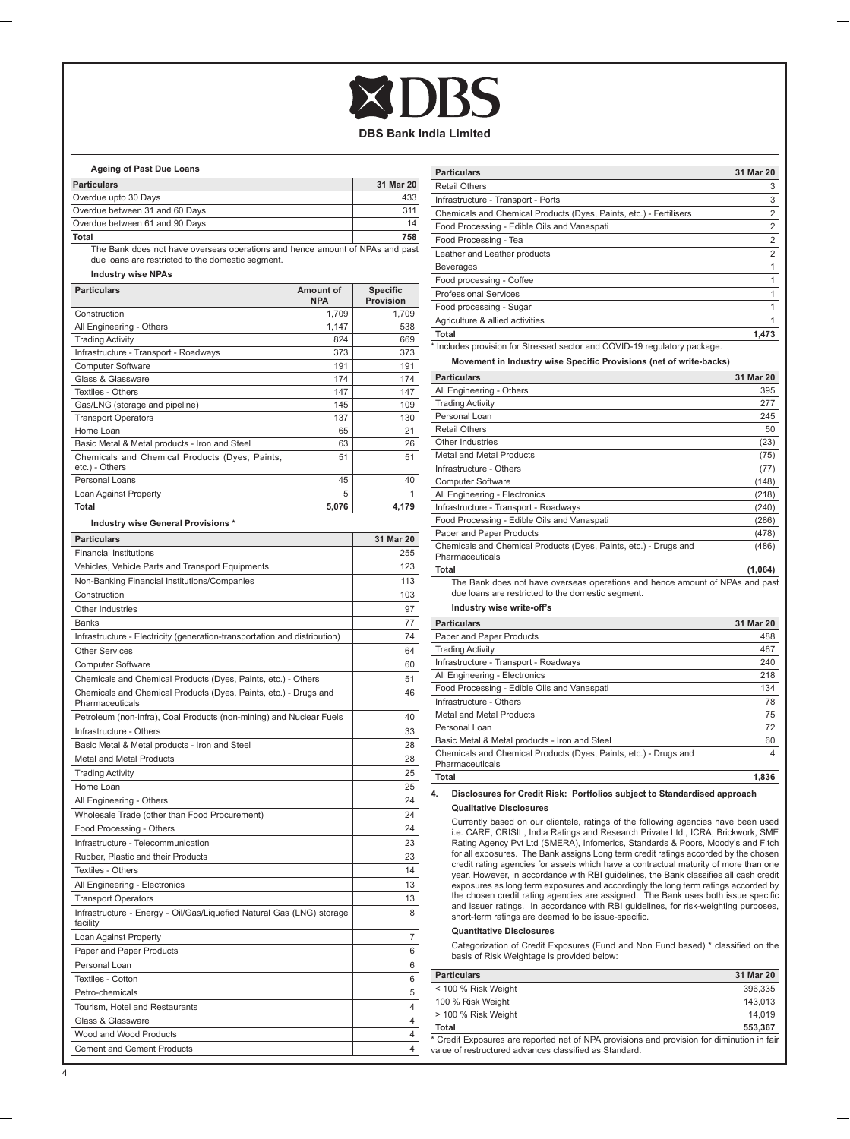# **Ageing of Past Due Loans**

| <b>Particulars</b>             | 31 Mar 20 |
|--------------------------------|-----------|
| Overdue upto 30 Days           | 433       |
| Overdue between 31 and 60 Days | 311       |
| Overdue between 61 and 90 Days | 14        |
| Total                          | 758       |

 The Bank does not have overseas operations and hence amount of NPAs and past due loans are restricted to the domestic segment.

# **Industry wise NPAs**

| <b>Particulars</b>                                               | Amount of<br><b>NPA</b> | <b>Specific</b><br>Provision |
|------------------------------------------------------------------|-------------------------|------------------------------|
| Construction                                                     | 1,709                   | 1,709                        |
| All Engineering - Others                                         | 1.147                   | 538                          |
| <b>Trading Activity</b>                                          | 824                     | 669                          |
| Infrastructure - Transport - Roadways                            | 373                     | 373                          |
| <b>Computer Software</b>                                         | 191                     | 191                          |
| Glass & Glassware                                                | 174                     | 174                          |
| Textiles - Others                                                | 147                     | 147                          |
| Gas/LNG (storage and pipeline)                                   | 145                     | 109                          |
| <b>Transport Operators</b>                                       | 137                     | 130                          |
| Home Loan                                                        | 65                      | 21                           |
| Basic Metal & Metal products - Iron and Steel                    | 63                      | 26                           |
| Chemicals and Chemical Products (Dyes, Paints,<br>etc.) - Others | 51                      | 51                           |
| Personal Loans                                                   | 45                      | 40                           |
| Loan Against Property                                            | 5                       | 1                            |
| <b>Total</b>                                                     | 5,076                   | 4.179                        |

# **Industry wise General Provisions \***

| <b>Particulars</b>                                                                  | 31 Mar 20 |
|-------------------------------------------------------------------------------------|-----------|
| <b>Financial Institutions</b>                                                       | 255       |
| Vehicles, Vehicle Parts and Transport Equipments                                    | 123       |
| Non-Banking Financial Institutions/Companies                                        | 113       |
| Construction                                                                        | 103       |
| Other Industries                                                                    | 97        |
| <b>Banks</b>                                                                        | 77        |
| Infrastructure - Electricity (generation-transportation and distribution)           | 74        |
| <b>Other Services</b>                                                               | 64        |
| <b>Computer Software</b>                                                            | 60        |
| Chemicals and Chemical Products (Dyes, Paints, etc.) - Others                       | 51        |
| Chemicals and Chemical Products (Dyes, Paints, etc.) - Drugs and<br>Pharmaceuticals | 46        |
| Petroleum (non-infra), Coal Products (non-mining) and Nuclear Fuels                 | 40        |
| Infrastructure - Others                                                             | 33        |
| Basic Metal & Metal products - Iron and Steel                                       | 28        |
| Metal and Metal Products                                                            | 28        |
| <b>Trading Activity</b>                                                             | 25        |
| Home Loan                                                                           | 25        |
| All Engineering - Others                                                            | 24        |
| Wholesale Trade (other than Food Procurement)                                       | 24        |
| Food Processing - Others                                                            | 24        |
| Infrastructure - Telecommunication                                                  | 23        |
| Rubber, Plastic and their Products                                                  | 23        |
| Textiles - Others                                                                   | 14        |
| All Engineering - Electronics                                                       | 13        |
| <b>Transport Operators</b>                                                          | 13        |
| Infrastructure - Energy - Oil/Gas/Liquefied Natural Gas (LNG) storage<br>facility   | 8         |
| Loan Against Property                                                               | 7         |
| Paper and Paper Products                                                            | 6         |
| Personal Loan                                                                       | 6         |
| Textiles - Cotton                                                                   | 6         |
| Petro-chemicals                                                                     | 5         |
| Tourism. Hotel and Restaurants                                                      | 4         |
| Glass & Glassware                                                                   | 4         |
| Wood and Wood Products                                                              | 4         |
| <b>Cement and Cement Products</b>                                                   | 4         |

| <b>Particulars</b>                                                        | 31 Mar 20      |
|---------------------------------------------------------------------------|----------------|
| <b>Retail Others</b>                                                      | 3              |
| Infrastructure - Transport - Ports                                        | 3              |
| Chemicals and Chemical Products (Dyes, Paints, etc.) - Fertilisers        | $\overline{2}$ |
| Food Processing - Edible Oils and Vanaspati                               | 2              |
| Food Processing - Tea                                                     | $\overline{2}$ |
| Leather and Leather products                                              | $\overline{2}$ |
| <b>Beverages</b>                                                          |                |
| Food processing - Coffee                                                  |                |
| <b>Professional Services</b>                                              |                |
| Food processing - Sugar                                                   |                |
| Agriculture & allied activities                                           |                |
| <b>Total</b>                                                              | 1.473          |
| * Includes provision for Stressed sector and COVID-19 regulatory package. |                |

**Movement in Industry wise Specific Provisions (net of write-backs)**

| <b>Particulars</b>                                                                                                                | 31 Mar 20 |
|-----------------------------------------------------------------------------------------------------------------------------------|-----------|
| All Engineering - Others                                                                                                          | 395       |
| <b>Trading Activity</b>                                                                                                           | 277       |
| Personal Loan                                                                                                                     | 245       |
| Retail Others                                                                                                                     | 50        |
| Other Industries                                                                                                                  | (23)      |
| Metal and Metal Products                                                                                                          | (75)      |
| Infrastructure - Others                                                                                                           | (77)      |
| <b>Computer Software</b>                                                                                                          | (148)     |
| All Engineering - Electronics                                                                                                     | (218)     |
| Infrastructure - Transport - Roadways                                                                                             | (240)     |
| Food Processing - Edible Oils and Vanaspati                                                                                       | (286)     |
| Paper and Paper Products                                                                                                          | (478)     |
| Chemicals and Chemical Products (Dyes, Paints, etc.) - Drugs and<br>Pharmaceuticals                                               | (486)     |
| <b>Total</b>                                                                                                                      | (1,064)   |
| The Bank does not have overseas operations and hence amount of NPAs and past<br>due loans are restricted to the domestic segment. |           |

# **Industry wise write-off's**

| <b>Particulars</b>                                                                  | 31 Mar 20 |
|-------------------------------------------------------------------------------------|-----------|
| Paper and Paper Products                                                            | 488       |
| <b>Trading Activity</b>                                                             | 467       |
| Infrastructure - Transport - Roadways                                               | 240       |
| All Engineering - Electronics                                                       | 218       |
| Food Processing - Edible Oils and Vanaspati                                         | 134       |
| Infrastructure - Others                                                             | 78        |
| Metal and Metal Products                                                            | 75        |
| Personal Loan                                                                       | 72        |
| Basic Metal & Metal products - Iron and Steel                                       | 60        |
| Chemicals and Chemical Products (Dyes, Paints, etc.) - Drugs and<br>Pharmaceuticals | 4         |
| <b>Total</b>                                                                        | 1.836     |

**4. Disclosures for Credit Risk: Portfolios subject to Standardised approach Qualitative Disclosures**

 Currently based on our clientele, ratings of the following agencies have been used i.e. CARE, CRISIL, India Ratings and Research Private Ltd., ICRA, Brickwork, SME Rating Agency Pvt Ltd (SMERA), Infomerics, Standards & Poors, Moody's and Fitch for all exposures. The Bank assigns Long term credit ratings accorded by the chosen credit rating agencies for assets which have a contractual maturity of more than one year. However, in accordance with RBI guidelines, the Bank classifies all cash credit<br>exposures as long term exposures and accordingly the long term ratings accorded by<br>the chosen credit rating agencies are assigned. The B short-term ratings are deemed to be issue-specific.

# **Quantitative Disclosures**

Categorization of Credit Exposures (Fund and Non Fund based) \* classified on the basis of Risk Weightage is provided below:

| <b>Particulars</b>                                                                                                                                   | 31 Mar 20 |
|------------------------------------------------------------------------------------------------------------------------------------------------------|-----------|
| < 100 % Risk Weight                                                                                                                                  | 396.335   |
| 100 % Risk Weight                                                                                                                                    | 143.013   |
| l > 100 % Risk Weight                                                                                                                                | 14.019    |
| Total                                                                                                                                                | 553.367   |
| * Credit Exposures are reported net of NPA provisions and provision for diminution in fair<br>value of restructured advances classified as Standard. |           |

 $\Box$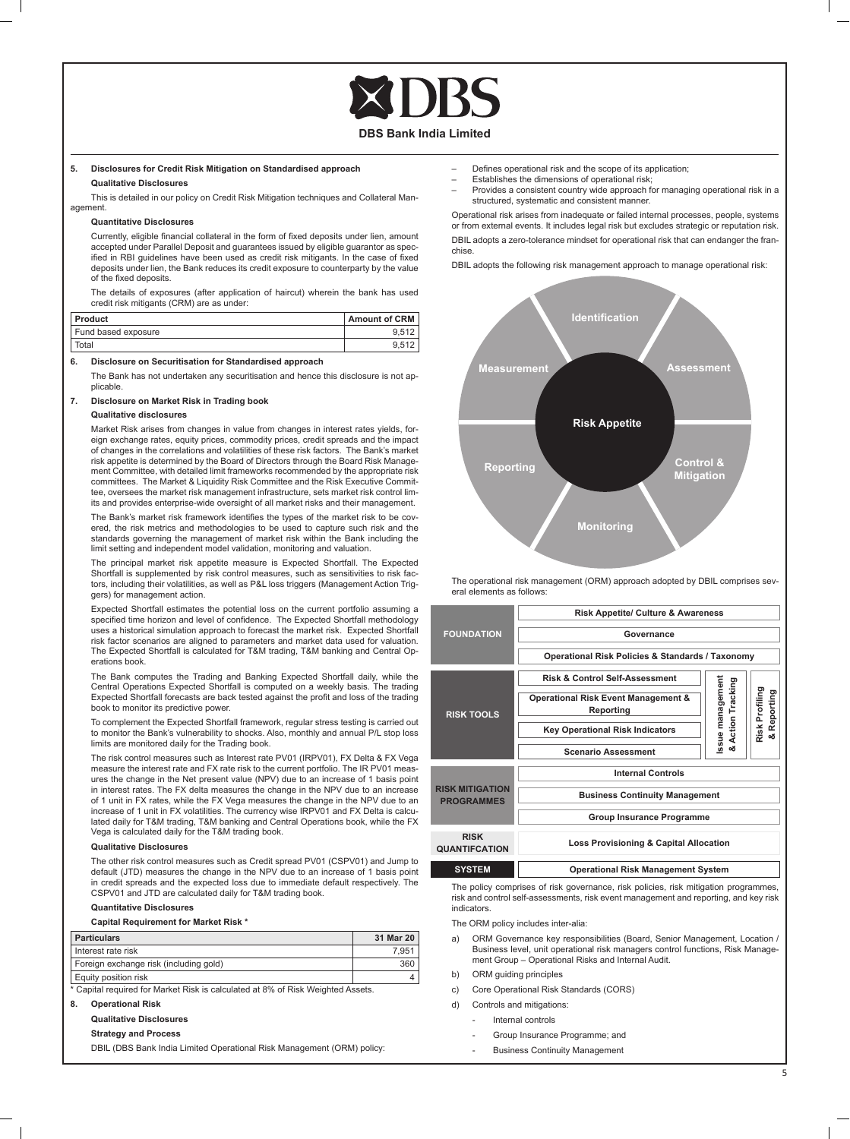

# **5. Disclosures for Credit Risk Mitigation on Standardised approach Qualitative Disclosures**

This is detailed in our policy on Credit Risk Mitigation techniques and Collateral Management.

## **Quantitative Disclosures**

Currently, eligible financial collateral in the form of fixed deposits under lien, amount accepted under Parallel Deposit and guarantees issued by eligible guarantor as specified in RBI guidelines have been used as credit risk mitigants. In the case of fixed deposits under lien, the Bank reduces its credit exposure to counterparty by the value of the fixed deposits.

 The details of exposures (after application of haircut) wherein the bank has used credit risk mitigants (CRM) are as under:

| I Product           | <b>Amount of CRM</b> |
|---------------------|----------------------|
| Fund based exposure | 9.512                |
| Total               | 9.512                |

# **6. Disclosure on Securitisation for Standardised approach**

 The Bank has not undertaken any securitisation and hence this disclosure is not applicable.

# **7. Disclosure on Market Risk in Trading book Qualitative disclosures**

 Market Risk arises from changes in value from changes in interest rates yields, foreign exchange rates, equity prices, commodity prices, credit spreads and the impact of changes in the correlations and volatilities of these risk factors. The Bank's market risk appetite is determined by the Board of Directors through the Board Risk Management Committee, with detailed limit frameworks recommended by the appropriate risk committees. The Market & Liquidity Risk Committee and the Risk Executive Committee, oversees the market risk management infrastructure, sets market risk control limits and provides enterprise-wide oversight of all market risks and their management.

The Bank's market risk framework identifies the types of the market risk to be covered, the risk metrics and methodologies to be used to capture such risk and the standards governing the management of market risk within the Bank including the limit setting and independent model validation, monitoring and valuation.

 The principal market risk appetite measure is Expected Shortfall. The Expected Shortfall is supplemented by risk control measures, such as sensitivities to risk factors, including their volatilities, as well as P&L loss triggers (Management Action Triggers) for management action.

 Expected Shortfall estimates the potential loss on the current portfolio assuming a specified time horizon and level of confidence. The Expected Shortfall methodology uses a historical simulation approach to forecast the market risk. Expected Shortfall risk factor scenarios are aligned to parameters and market data used for valuation. The Expected Shortfall is calculated for T&M trading, T&M banking and Central Operations book.

 The Bank computes the Trading and Banking Expected Shortfall daily, while the Central Operations Expected Shortfall is computed on a weekly basis. The trading Expected Shortfall forecasts are back tested against the profit and loss of the trading book to monitor its predictive power.

 To complement the Expected Shortfall framework, regular stress testing is carried out to monitor the Bank's vulnerability to shocks. Also, monthly and annual P/L stop loss limits are monitored daily for the Trading book.

 The risk control measures such as Interest rate PV01 (IRPV01), FX Delta & FX Vega measure the interest rate and FX rate risk to the current portfolio. The IR PV01 meas-ures the change in the Net present value (NPV) due to an increase of 1 basis point in interest rates. The FX delta measures the change in the NPV due to an increase of 1 unit in FX rates, while the FX Vega measures the change in the NPV due to an increase of 1 unit in FX volatilities. The currency wise IRPV01 and FX Delta is calculated daily for T&M trading, T&M banking and Central Operations book, while the FX Vega is calculated daily for the T&M trading book.

# **Qualitative Disclosures**

 The other risk control measures such as Credit spread PV01 (CSPV01) and Jump to default (JTD) measures the change in the NPV due to an increase of 1 basis point in credit spreads and the expected loss due to immediate default respectively. The CSPV01 and JTD are calculated daily for T&M trading book.

# **Quantitative Disclosures**

**Capital Requirement for Market Risk \***

| <b>Particulars</b>                     | 31 Mar 20 |
|----------------------------------------|-----------|
| I Interest rate risk                   | 7.951     |
| Foreign exchange risk (including gold) | 360       |
|                                        |           |

Equity position risk 4

Capital required for Market Risk is calculated at 8% of Risk Weighted Assets.

# **8. Operational Risk**

**Qualitative Disclosures**

# **Strategy and Process**

DBIL (DBS Bank India Limited Operational Risk Management (ORM) policy:

- Defines operational risk and the scope of its application;
- Establishes the dimensions of operational risk;
- Provides a consistent country wide approach for managing operational risk in a structured, systematic and consistent manner.

 Operational risk arises from inadequate or failed internal processes, people, systems or from external events. It includes legal risk but excludes strategic or reputation risk. DBIL adopts a zero-tolerance mindset for operational risk that can endanger the franchise.

DBIL adopts the following risk management approach to manage operational risk:



 The operational risk management (ORM) approach adopted by DBIL comprises several elements as follows:

|                                             | <b>Risk Appetite/ Culture &amp; Awareness</b>    |                                     |                             |  |
|---------------------------------------------|--------------------------------------------------|-------------------------------------|-----------------------------|--|
| <b>FOUNDATION</b>                           | Governance                                       |                                     |                             |  |
|                                             | Operational Risk Policies & Standards / Taxonomy |                                     |                             |  |
|                                             | <b>Risk &amp; Control Self-Assessment</b>        |                                     |                             |  |
| <b>RISK TOOLS</b>                           | Operational Risk Event Management &<br>Reporting | Issue management<br>Action Tracking | Risk Profiling<br>Reporting |  |
|                                             | <b>Key Operational Risk Indicators</b>           |                                     | ఱ                           |  |
|                                             | <b>Scenario Assessment</b>                       | ఱ                                   |                             |  |
|                                             | <b>Internal Controls</b>                         |                                     |                             |  |
| <b>RISK MITIGATION</b><br><b>PROGRAMMES</b> | <b>Business Continuity Management</b>            |                                     |                             |  |
|                                             | Group Insurance Programme                        |                                     |                             |  |
| <b>RISK</b><br><b>QUANTIFCATION</b>         | Loss Provisioning & Capital Allocation           |                                     |                             |  |
| <b>SYSTEM</b>                               | <b>Operational Risk Management System</b>        |                                     |                             |  |

 The policy comprises of risk governance, risk policies, risk mitigation programmes, risk and control self-assessments, risk event management and reporting, and key risk indicators.

The ORM policy includes inter-alia:

- a) ORM Governance key responsibilities (Board, Senior Management, Location / Business level, unit operational risk managers control functions, Risk Management Group – Operational Risks and Internal Audit.
- b) ORM guiding principles
- c) Core Operational Risk Standards (CORS)
- d) Controls and mitigations:
	- Internal controls
		- Group Insurance Programme; and
	- Business Continuity Management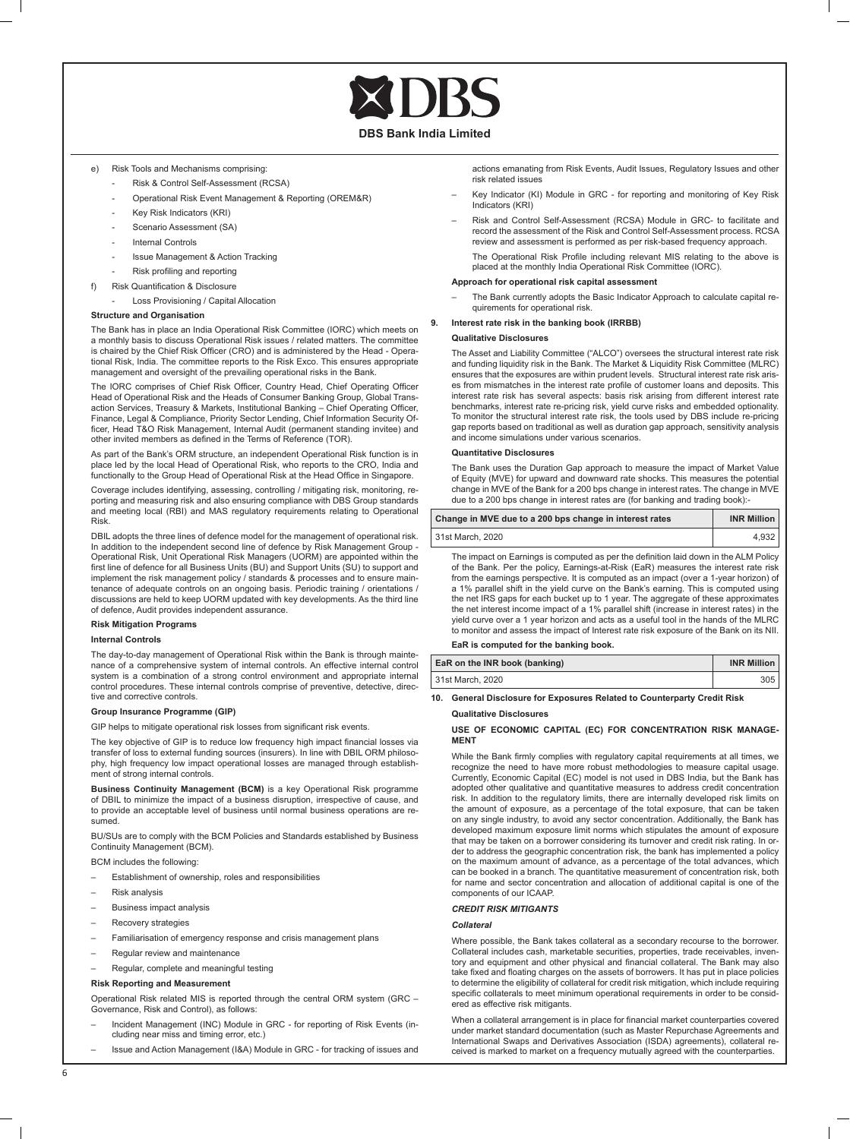# e) Risk Tools and Mechanisms comprising:

- Risk & Control Self-Assessment (RCSA)
- Operational Risk Event Management & Reporting (OREM&R)
- Key Risk Indicators (KRI)
- Scenario Assessment (SA)
- Internal Controls
- Issue Management & Action Tracking
- Risk profiling and reporting
- f) Risk Quantification & Disclosure
	- Loss Provisioning / Capital Allocation

# **Structure and Organisation**

 The Bank has in place an India Operational Risk Committee (IORC) which meets on a monthly basis to discuss Operational Risk issues / related matters. The committee is chaired by the Chief Risk Officer (CRO) and is administered by the Head - Operational Risk, India. The committee reports to the Risk Exco. This ensures appropriate management and oversight of the prevailing operational risks in the Bank.

The IORC comprises of Chief Risk Officer, Country Head, Chief Operating Officer Head of Operational Risk and the Heads of Consumer Banking Group, Global Trans-action Services, Treasury & Markets, Institutional Banking – Chief Operating Officer, Finance, Legal & Compliance, Priority Sector Lending, Chief Information Security Officer, Head T&O Risk Management, Internal Audit (permanent standing invitee) and other invited members as defined in the Terms of Reference (TOR).

 As part of the Bank's ORM structure, an independent Operational Risk function is in place led by the local Head of Operational Risk, who reports to the CRO, India and functionally to the Group Head of Operational Risk at the Head Office in Singapore.

 Coverage includes identifying, assessing, controlling / mitigating risk, monitoring, reporting and measuring risk and also ensuring compliance with DBS Group standards and meeting local (RBI) and MAS regulatory requirements relating to Operational Risk.

 DBIL adopts the three lines of defence model for the management of operational risk. In addition to the independent second line of defence by Risk Management Group -Operational Risk, Unit Operational Risk Managers (UORM) are appointed within the first line of defence for all Business Units (BU) and Support Units (SU) to support and implement the risk management policy / standards & processes and to ensure main-tenance of adequate controls on an ongoing basis. Periodic training / orientations / discussions are held to keep UORM updated with key developments. As the third line of defence, Audit provides independent assurance.

#### **Risk Mitigation Programs**

# **Internal Controls**

 The day-to-day management of Operational Risk within the Bank is through mainte-nance of a comprehensive system of internal controls. An effective internal control system is a combination of a strong control environment and appropriate internal control procedures. These internal controls comprise of preventive, detective, directive and corrective controls.

### **Group Insurance Programme (GIP)**

GIP helps to mitigate operational risk losses from significant risk events.

The key objective of GIP is to reduce low frequency high impact financial losses via transfer of loss to external funding sources (insurers). In line with DBIL ORM philosophy, high frequency low impact operational losses are managed through establishment of strong internal controls.

 **Business Continuity Management (BCM)** is a key Operational Risk programme of DBIL to minimize the impact of a business disruption, irrespective of cause, and to provide an acceptable level of business until normal business operations are resumed.

 BU/SUs are to comply with the BCM Policies and Standards established by Business Continuity Management (BCM).

BCM includes the following:

- Establishment of ownership, roles and responsibilities
- Risk analysis
- Business impact analysis
- Recovery strategies
- Familiarisation of emergency response and crisis management plans
- Regular review and maintenance
- Regular, complete and meaningful testing

# **Risk Reporting and Measurement**

 Operational Risk related MIS is reported through the central ORM system (GRC – Governance, Risk and Control), as follows:

- Incident Management (INC) Module in GRC for reporting of Risk Events (including near miss and timing error, etc.)
- Issue and Action Management (I&A) Module in GRC for tracking of issues and

actions emanating from Risk Events, Audit Issues, Regulatory Issues and other risk related issues

- Key Indicator (KI) Module in GRC for reporting and monitoring of Key Risk Indicators (KRI)
- Risk and Control Self-Assessment (RCSA) Module in GRC- to facilitate and record the assessment of the Risk and Control Self-Assessment process. RCSA review and assessment is performed as per risk-based frequency approach.

The Operational Risk Profile including relevant MIS relating to the above is placed at the monthly India Operational Risk Committee (IORC).

## **Approach for operational risk capital assessment**

The Bank currently adopts the Basic Indicator Approach to calculate capital requirements for operational risk.

# **9. Interest rate risk in the banking book (IRRBB)**

#### **Qualitative Disclosures**

 The Asset and Liability Committee ("ALCO") oversees the structural interest rate risk and funding liquidity risk in the Bank. The Market & Liquidity Risk Committee (MLRC) ensures that the exposures are within prudent levels. Structural interest rate risk arises from mismatches in the interest rate profile of customer loans and deposits. This interest rate risk has several aspects: basis risk arising from different interest rate benchmarks, interest rate re-pricing risk, yield curve risks and embedded optionality. To monitor the structural interest rate risk, the tools used by DBS include re-pricing gap reports based on traditional as well as duration gap approach, sensitivity analysis and income simulations under various scenarios.

# **Quantitative Disclosures**

 The Bank uses the Duration Gap approach to measure the impact of Market Value of Equity (MVE) for upward and downward rate shocks. This measures the potential change in MVE of the Bank for a 200 bps change in interest rates. The change in MVE due to a 200 bps change in interest rates are (for banking and trading book):

| Change in MVE due to a 200 bps change in interest rates | <b>INR Million</b> |
|---------------------------------------------------------|--------------------|
| 31st March, 2020                                        | 4.932              |

The impact on Earnings is computed as per the definition laid down in the ALM Policy of the Bank. Per the policy, Earnings-at-Risk (EaR) measures the interest rate risk from the earnings perspective. It is computed as an impact (over a 1-year horizon) of a 1% parallel shift in the yield curve on the Bank's earning. This is computed using the net IRS gaps for each bucket up to 1 year. The aggregate of these approximates the net interest income impact of a 1% parallel shift (increase in interest rates) in the yield curve over a 1 year horizon and acts as a useful tool in the hands of the MLRC to monitor and assess the impact of Interest rate risk exposure of the Bank on its NII. **EaR is computed for the banking book.** 

| EaR on the INR book (banking) | <b>INR Million</b> |
|-------------------------------|--------------------|
| 31st March, 2020              | 305                |

**10. General Disclosure for Exposures Related to Counterparty Credit Risk**

# **Qualitative Disclosures**

# **USE OF ECONOMIC CAPITAL (EC) FOR CONCENTRATION RISK MANAGE-MENT**

While the Bank firmly complies with regulatory capital requirements at all times, we recognize the need to have more robust methodologies to measure capital usage. Currently, Economic Capital (EC) model is not used in DBS India, but the Bank has adopted other qualitative and quantitative measures to address credit concentration risk. In addition to the regulatory limits, there are internally developed risk limits on the amount of exposure, as a percentage of the total exposure, that can be taken on any single industry, to avoid any sector concentration. Additionally, the Bank has developed maximum exposure limit norms which stipulates the amount of exposure that may be taken on a borrower considering its turnover and credit risk rating. In order to address the geographic concentration risk, the bank has implemented a policy on the maximum amount of advance, as a percentage of the total advances, which can be booked in a branch. The quantitative measurement of concentration risk, both for name and sector concentration and allocation of additional capital is one of the components of our ICAAP.

## *CREDIT RISK MITIGANTS*

# *Collateral*

 Where possible, the Bank takes collateral as a secondary recourse to the borrower. Collateral includes cash, marketable securities, properties, trade receivables, inventory and equipment and other physical and financial collateral. The Bank may also take fixed and floating charges on the assets of borrowers. It has put in place policies to determine the eligibility of collateral for credit risk mitigation, which include requiring specific collaterals to meet minimum operational requirements in order to be considered as effective risk mitigants.

When a collateral arrangement is in place for financial market counterparties covered under market standard documentation (such as Master Repurchase Agreements and International Swaps and Derivatives Association (ISDA) agreements), collateral received is marked to market on a frequency mutually agreed with the counterparties.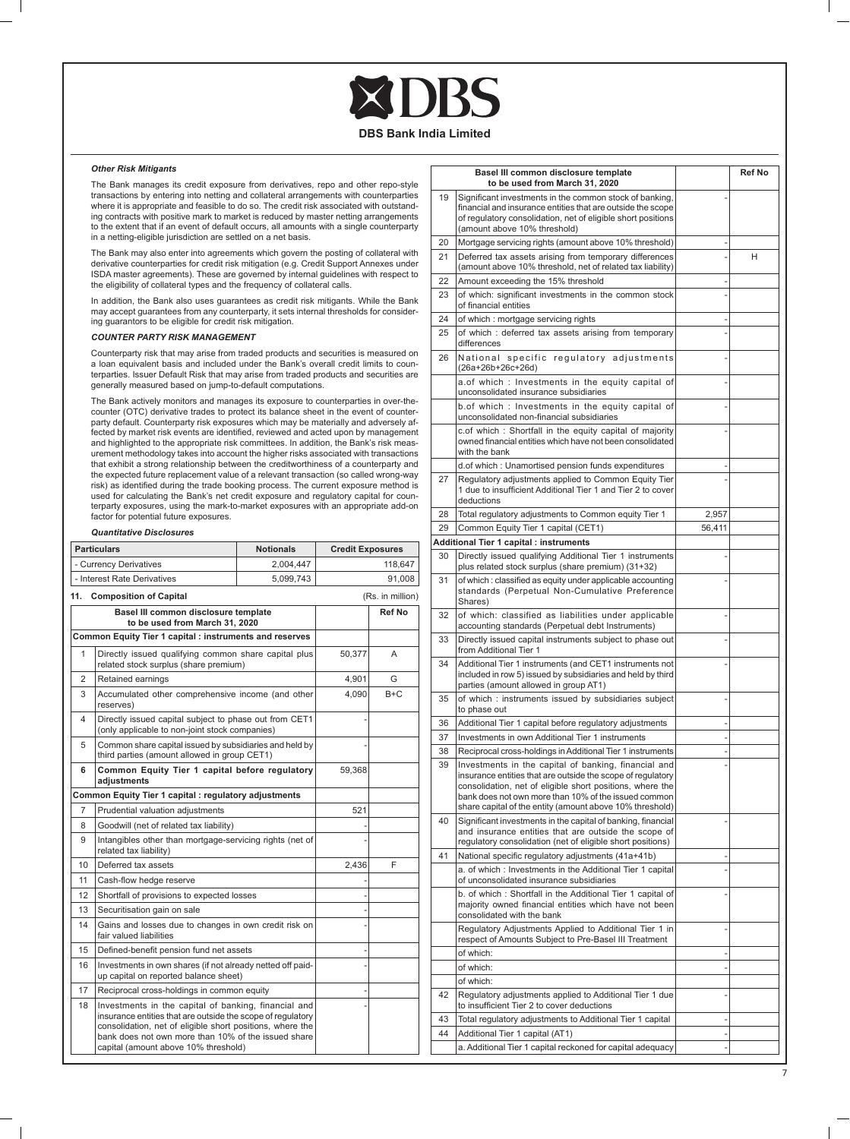**DBS Bank India Limited**

# *Other Risk Mitigants*

 The Bank manages its credit exposure from derivatives, repo and other repo-style transactions by entering into netting and collateral arrangements with counterparties where it is appropriate and feasible to do so. The credit risk associated with outstanding contracts with positive mark to market is reduced by master netting arrangements to the extent that if an event of default occurs, all amounts with a single counterparty in a netting-eligible jurisdiction are settled on a net basis.

 The Bank may also enter into agreements which govern the posting of collateral with derivative counterparties for credit risk mitigation (e.g. Credit Support Annexes under ISDA master agreements). These are governed by internal guidelines with respect to the eligibility of collateral types and the frequency of collateral calls.

 In addition, the Bank also uses guarantees as credit risk mitigants. While the Bank may accept guarantees from any counterparty, it sets internal thresholds for considering guarantors to be eligible for credit risk mitigation.

# *COUNTER PARTY RISK MANAGEMENT*

 Counterparty risk that may arise from traded products and securities is measured on a loan equivalent basis and included under the Bank's overall credit limits to counterparties. Issuer Default Risk that may arise from traded products and securities are generally measured based on jump-to-default computations.

 The Bank actively monitors and manages its exposure to counterparties in over-thecounter (OTC) derivative trades to protect its balance sheet in the event of counter-party default. Counterparty risk exposures which may be materially and adversely affected by market risk events are identified, reviewed and acted upon by management and highlighted to the appropriate risk committees. In addition, the Bank's risk measurement methodology takes into account the higher risks associated with transactions that exhibit a strong relationship between the creditworthiness of a counterparty and the expected future replacement value of a relevant transaction (so called wrong-way risk) as identified during the trade booking process. The current exposure method is used for calculating the Bank's net credit exposure and regulatory capital for counterparty exposures, using the mark-to-market exposures with an appropriate add-on factor for potential future exposures.

# *Quantitative Disclosures*

|                | <b>Particulars</b>                                                                                                                                                                                                                                                              | <b>Notionals</b> | <b>Credit Exposures</b> |                  |
|----------------|---------------------------------------------------------------------------------------------------------------------------------------------------------------------------------------------------------------------------------------------------------------------------------|------------------|-------------------------|------------------|
|                | - Currency Derivatives                                                                                                                                                                                                                                                          | 2,004,447        |                         | 118,647          |
|                | - Interest Rate Derivatives                                                                                                                                                                                                                                                     | 5,099,743        |                         | 91.008           |
| 11.            | <b>Composition of Capital</b>                                                                                                                                                                                                                                                   |                  |                         | (Rs. in million) |
|                | Basel III common disclosure template<br>to be used from March 31, 2020                                                                                                                                                                                                          |                  |                         | Ref No           |
|                | Common Equity Tier 1 capital : instruments and reserves                                                                                                                                                                                                                         |                  |                         |                  |
| 1              | Directly issued qualifying common share capital plus<br>related stock surplus (share premium)                                                                                                                                                                                   |                  | 50,377                  | A                |
| 2              | Retained earnings                                                                                                                                                                                                                                                               |                  | 4,901                   | G                |
| 3              | Accumulated other comprehensive income (and other<br>reserves)                                                                                                                                                                                                                  |                  | 4,090                   | $B+C$            |
| 4              | Directly issued capital subject to phase out from CET1<br>(only applicable to non-joint stock companies)                                                                                                                                                                        |                  |                         |                  |
| 5              | Common share capital issued by subsidiaries and held by<br>third parties (amount allowed in group CET1)                                                                                                                                                                         |                  |                         |                  |
| 6              | Common Equity Tier 1 capital before regulatory<br>adjustments                                                                                                                                                                                                                   |                  | 59,368                  |                  |
|                | Common Equity Tier 1 capital : regulatory adjustments                                                                                                                                                                                                                           |                  |                         |                  |
| $\overline{7}$ | Prudential valuation adjustments                                                                                                                                                                                                                                                |                  | 521                     |                  |
| 8              | Goodwill (net of related tax liability)                                                                                                                                                                                                                                         |                  |                         |                  |
| 9              | Intangibles other than mortgage-servicing rights (net of<br>related tax liability)                                                                                                                                                                                              |                  |                         |                  |
| 10             | Deferred tax assets                                                                                                                                                                                                                                                             |                  | 2,436                   | F                |
| 11             | Cash-flow hedge reserve                                                                                                                                                                                                                                                         |                  |                         |                  |
| 12             | Shortfall of provisions to expected losses                                                                                                                                                                                                                                      |                  |                         |                  |
| 13             | Securitisation gain on sale                                                                                                                                                                                                                                                     |                  |                         |                  |
| 14             | Gains and losses due to changes in own credit risk on<br>fair valued liabilities                                                                                                                                                                                                |                  |                         |                  |
| 15             | Defined-benefit pension fund net assets                                                                                                                                                                                                                                         |                  |                         |                  |
| 16             | Investments in own shares (if not already netted off paid-<br>up capital on reported balance sheet)                                                                                                                                                                             |                  |                         |                  |
| 17             | Reciprocal cross-holdings in common equity                                                                                                                                                                                                                                      |                  |                         |                  |
| 18             | Investments in the capital of banking, financial and<br>insurance entities that are outside the scope of regulatory<br>consolidation, net of eligible short positions, where the<br>bank does not own more than 10% of the issued share<br>capital (amount above 10% threshold) |                  |                         |                  |

|    | Basel III common disclosure template<br>to be used from March 31, 2020                                                                                                                                                                                                                               |        | <b>Ref No</b> |
|----|------------------------------------------------------------------------------------------------------------------------------------------------------------------------------------------------------------------------------------------------------------------------------------------------------|--------|---------------|
| 19 | Significant investments in the common stock of banking,<br>financial and insurance entities that are outside the scope<br>of regulatory consolidation, net of eligible short positions<br>(amount above 10% threshold)                                                                               |        |               |
| 20 | Mortgage servicing rights (amount above 10% threshold)                                                                                                                                                                                                                                               |        |               |
| 21 | Deferred tax assets arising from temporary differences<br>(amount above 10% threshold, net of related tax liability)                                                                                                                                                                                 |        | н             |
| 22 | Amount exceeding the 15% threshold                                                                                                                                                                                                                                                                   |        |               |
| 23 | of which: significant investments in the common stock<br>of financial entities                                                                                                                                                                                                                       |        |               |
| 24 | of which: mortgage servicing rights                                                                                                                                                                                                                                                                  |        |               |
| 25 | of which: deferred tax assets arising from temporary<br>differences                                                                                                                                                                                                                                  |        |               |
| 26 | National specific regulatory adjustments<br>(26a+26b+26c+26d)                                                                                                                                                                                                                                        |        |               |
|    | a.of which: Investments in the equity capital of<br>unconsolidated insurance subsidiaries                                                                                                                                                                                                            |        |               |
|    | b.of which: Investments in the equity capital of<br>unconsolidated non-financial subsidiaries                                                                                                                                                                                                        |        |               |
|    | c.of which : Shortfall in the equity capital of majority<br>owned financial entities which have not been consolidated<br>with the bank                                                                                                                                                               |        |               |
|    | d.of which: Unamortised pension funds expenditures                                                                                                                                                                                                                                                   |        |               |
| 27 | Regulatory adjustments applied to Common Equity Tier<br>1 due to insufficient Additional Tier 1 and Tier 2 to cover<br>deductions                                                                                                                                                                    |        |               |
| 28 | Total regulatory adjustments to Common equity Tier 1                                                                                                                                                                                                                                                 | 2,957  |               |
| 29 | Common Equity Tier 1 capital (CET1)                                                                                                                                                                                                                                                                  | 56,411 |               |
|    | Additional Tier 1 capital : instruments                                                                                                                                                                                                                                                              |        |               |
| 30 | Directly issued qualifying Additional Tier 1 instruments<br>plus related stock surplus (share premium) (31+32)                                                                                                                                                                                       |        |               |
| 31 | of which: classified as equity under applicable accounting<br>standards (Perpetual Non-Cumulative Preference<br>Shares)                                                                                                                                                                              |        |               |
| 32 | of which: classified as liabilities under applicable<br>accounting standards (Perpetual debt Instruments)                                                                                                                                                                                            |        |               |
| 33 | Directly issued capital instruments subject to phase out<br>from Additional Tier 1                                                                                                                                                                                                                   |        |               |
| 34 | Additional Tier 1 instruments (and CET1 instruments not<br>included in row 5) issued by subsidiaries and held by third<br>parties (amount allowed in group AT1)                                                                                                                                      |        |               |
| 35 | of which: instruments issued by subsidiaries subject<br>to phase out                                                                                                                                                                                                                                 |        |               |
| 36 | Additional Tier 1 capital before regulatory adjustments                                                                                                                                                                                                                                              |        |               |
| 37 | Investments in own Additional Tier 1 instruments                                                                                                                                                                                                                                                     |        |               |
| 38 | Reciprocal cross-holdings in Additional Tier 1 instruments                                                                                                                                                                                                                                           |        |               |
| 39 | Investments in the capital of banking, financial and<br>insurance entities that are outside the scope of regulatory<br>consolidation, net of eligible short positions, where the<br>bank does not own more than 10% of the issued common<br>share capital of the entity (amount above 10% threshold) |        |               |
| 40 | Significant investments in the capital of banking, financial<br>and insurance entities that are outside the scope of<br>regulatory consolidation (net of eligible short positions)                                                                                                                   |        |               |
| 41 | National specific regulatory adjustments (41a+41b)                                                                                                                                                                                                                                                   |        |               |
|    | a. of which: Investments in the Additional Tier 1 capital<br>of unconsolidated insurance subsidiaries                                                                                                                                                                                                |        |               |
|    | b. of which: Shortfall in the Additional Tier 1 capital of<br>majority owned financial entities which have not been<br>consolidated with the bank                                                                                                                                                    |        |               |
|    | Regulatory Adjustments Applied to Additional Tier 1 in<br>respect of Amounts Subject to Pre-Basel III Treatment                                                                                                                                                                                      |        |               |
|    | of which:                                                                                                                                                                                                                                                                                            |        |               |
|    | of which:                                                                                                                                                                                                                                                                                            |        |               |
|    | of which:                                                                                                                                                                                                                                                                                            |        |               |
| 42 | Regulatory adjustments applied to Additional Tier 1 due<br>to insufficient Tier 2 to cover deductions                                                                                                                                                                                                |        |               |
| 43 | Total regulatory adjustments to Additional Tier 1 capital                                                                                                                                                                                                                                            |        |               |
| 44 | Additional Tier 1 capital (AT1)                                                                                                                                                                                                                                                                      |        |               |
|    | a. Additional Tier 1 capital reckoned for capital adequacy                                                                                                                                                                                                                                           |        |               |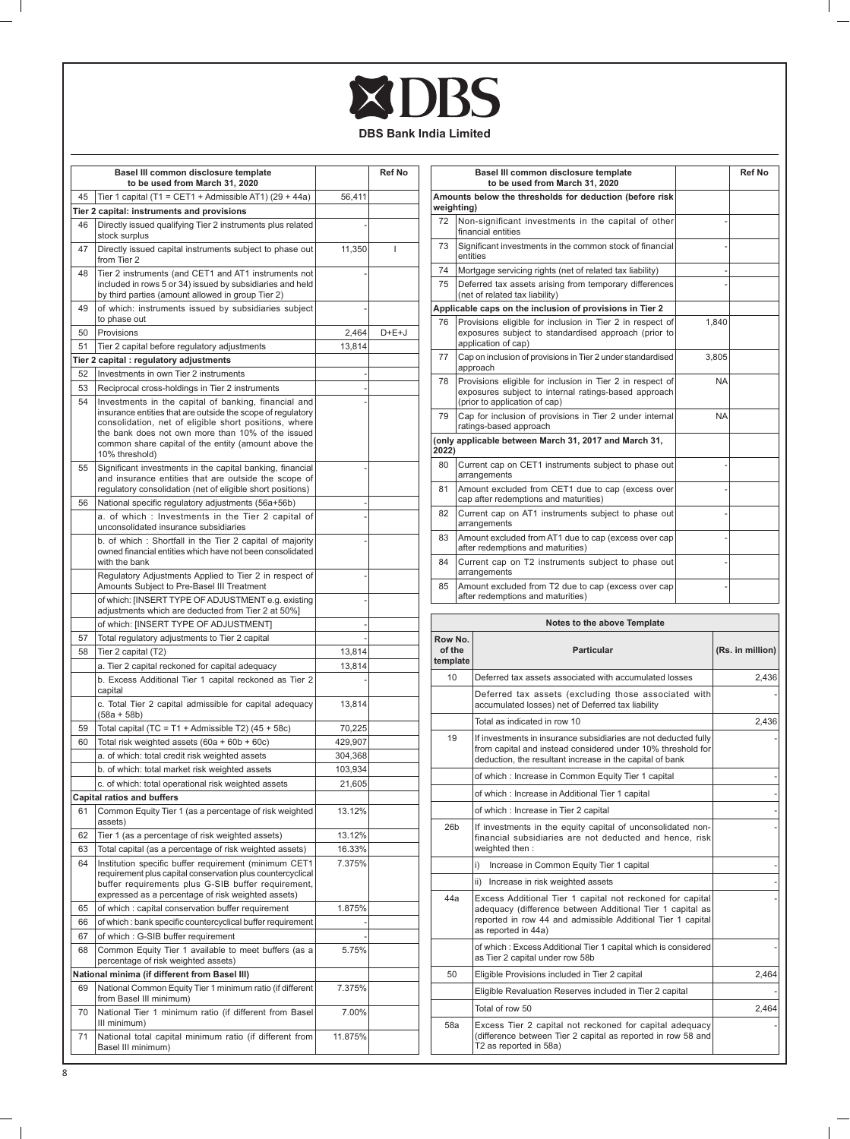# XDBS

**DBS Bank India Limited**

| Tier 1 capital (T1 = CET1 + Admissible AT1) (29 + 44a)<br>45<br>Tier 2 capital: instruments and provisions                                                                                                                                                                                                        | 56,411  |         |
|-------------------------------------------------------------------------------------------------------------------------------------------------------------------------------------------------------------------------------------------------------------------------------------------------------------------|---------|---------|
|                                                                                                                                                                                                                                                                                                                   |         |         |
|                                                                                                                                                                                                                                                                                                                   |         |         |
| Directly issued qualifying Tier 2 instruments plus related<br>46<br>stock surplus                                                                                                                                                                                                                                 |         |         |
| Directly issued capital instruments subject to phase out<br>47<br>from Tier 2                                                                                                                                                                                                                                     | 11,350  |         |
| Tier 2 instruments (and CET1 and AT1 instruments not<br>48<br>included in rows 5 or 34) issued by subsidiaries and held<br>by third parties (amount allowed in group Tier 2)                                                                                                                                      |         |         |
| of which: instruments issued by subsidiaries subject<br>49<br>to phase out                                                                                                                                                                                                                                        |         |         |
| Provisions<br>50                                                                                                                                                                                                                                                                                                  | 2,464   | $D+E+J$ |
| 51<br>Tier 2 capital before regulatory adjustments                                                                                                                                                                                                                                                                | 13,814  |         |
| Tier 2 capital : regulatory adjustments                                                                                                                                                                                                                                                                           |         |         |
| Investments in own Tier 2 instruments<br>52                                                                                                                                                                                                                                                                       |         |         |
| 53<br>Reciprocal cross-holdings in Tier 2 instruments                                                                                                                                                                                                                                                             |         |         |
| 54<br>Investments in the capital of banking, financial and<br>insurance entities that are outside the scope of regulatory<br>consolidation, net of eligible short positions, where<br>the bank does not own more than 10% of the issued<br>common share capital of the entity (amount above the<br>10% threshold) |         |         |
| 55<br>Significant investments in the capital banking, financial<br>and insurance entities that are outside the scope of<br>regulatory consolidation (net of eligible short positions)                                                                                                                             |         |         |
| National specific regulatory adjustments (56a+56b)<br>56                                                                                                                                                                                                                                                          |         |         |
| a. of which: Investments in the Tier 2 capital of<br>unconsolidated insurance subsidiaries                                                                                                                                                                                                                        |         |         |
| b. of which: Shortfall in the Tier 2 capital of majority<br>owned financial entities which have not been consolidated<br>with the bank                                                                                                                                                                            |         |         |
| Regulatory Adjustments Applied to Tier 2 in respect of<br>Amounts Subject to Pre-Basel III Treatment                                                                                                                                                                                                              |         |         |
| of which: [INSERT TYPE OF ADJUSTMENT e.g. existing<br>adjustments which are deducted from Tier 2 at 50%]                                                                                                                                                                                                          |         |         |
| of which: [INSERT TYPE OF ADJUSTMENT]                                                                                                                                                                                                                                                                             |         |         |
| 57<br>Total regulatory adjustments to Tier 2 capital                                                                                                                                                                                                                                                              |         |         |
| 58<br>Tier 2 capital (T2)                                                                                                                                                                                                                                                                                         | 13,814  |         |
| a. Tier 2 capital reckoned for capital adequacy<br>b. Excess Additional Tier 1 capital reckoned as Tier 2<br>capital                                                                                                                                                                                              | 13,814  |         |
| c. Total Tier 2 capital admissible for capital adequacy<br>(58a + 58b)                                                                                                                                                                                                                                            | 13,814  |         |
| 59<br>Total capital (TC = T1 + Admissible T2) $(45 + 58c)$                                                                                                                                                                                                                                                        | 70,225  |         |
| 60<br>Total risk weighted assets (60a + 60b + 60c)                                                                                                                                                                                                                                                                | 429,907 |         |
| a. of which: total credit risk weighted assets                                                                                                                                                                                                                                                                    | 304,368 |         |
| b. of which: total market risk weighted assets                                                                                                                                                                                                                                                                    | 103,934 |         |
| c. of which: total operational risk weighted assets                                                                                                                                                                                                                                                               | 21,605  |         |
| <b>Capital ratios and buffers</b><br>61<br>Common Equity Tier 1 (as a percentage of risk weighted                                                                                                                                                                                                                 | 13.12%  |         |
| assets)<br>62<br>Tier 1 (as a percentage of risk weighted assets)                                                                                                                                                                                                                                                 | 13.12%  |         |
| Total capital (as a percentage of risk weighted assets)<br>63                                                                                                                                                                                                                                                     | 16.33%  |         |
| Institution specific buffer requirement (minimum CET1<br>64<br>requirement plus capital conservation plus countercyclical<br>buffer requirements plus G-SIB buffer requirement,                                                                                                                                   | 7.375%  |         |
| expressed as a percentage of risk weighted assets)<br>of which: capital conservation buffer requirement<br>65                                                                                                                                                                                                     | 1.875%  |         |
| of which : bank specific countercyclical buffer requirement<br>66                                                                                                                                                                                                                                                 |         |         |
| 67<br>of which: G-SIB buffer requirement                                                                                                                                                                                                                                                                          |         |         |
| Common Equity Tier 1 available to meet buffers (as a<br>68<br>percentage of risk weighted assets)                                                                                                                                                                                                                 | 5.75%   |         |
| National minima (if different from Basel III)                                                                                                                                                                                                                                                                     |         |         |
| National Common Equity Tier 1 minimum ratio (if different<br>69<br>from Basel III minimum)                                                                                                                                                                                                                        | 7.375%  |         |
| National Tier 1 minimum ratio (if different from Basel<br>70<br>III minimum)                                                                                                                                                                                                                                      | 7.00%   |         |
| National total capital minimum ratio (if different from<br>71<br>Basel III minimum)                                                                                                                                                                                                                               | 11.875% |         |

|       | Basel III common disclosure template<br>to be used from March 31, 2020                                                                             |           | Ref No |
|-------|----------------------------------------------------------------------------------------------------------------------------------------------------|-----------|--------|
|       | Amounts below the thresholds for deduction (before risk<br>weighting)                                                                              |           |        |
| 72    | Non-significant investments in the capital of other<br>financial entities                                                                          |           |        |
| 73    | Significant investments in the common stock of financial<br>entities                                                                               |           |        |
| 74    | Mortgage servicing rights (net of related tax liability)                                                                                           |           |        |
| 75    | Deferred tax assets arising from temporary differences<br>(net of related tax liability)                                                           |           |        |
|       | Applicable caps on the inclusion of provisions in Tier 2                                                                                           |           |        |
| 76    | Provisions eligible for inclusion in Tier 2 in respect of<br>exposures subject to standardised approach (prior to<br>application of cap)           | 1.840     |        |
| 77    | Cap on inclusion of provisions in Tier 2 under standardised<br>approach                                                                            | 3.805     |        |
| 78    | Provisions eligible for inclusion in Tier 2 in respect of<br>exposures subject to internal ratings-based approach<br>(prior to application of cap) | NA        |        |
| 79    | Cap for inclusion of provisions in Tier 2 under internal<br>ratings-based approach                                                                 | <b>NA</b> |        |
| 2022) | (only applicable between March 31, 2017 and March 31,                                                                                              |           |        |
| 80    | Current cap on CET1 instruments subject to phase out<br>arrangements                                                                               |           |        |
| 81    | Amount excluded from CET1 due to cap (excess over<br>cap after redemptions and maturities)                                                         |           |        |
| 82    | Current cap on AT1 instruments subject to phase out<br>arrangements                                                                                |           |        |
| 83    | Amount excluded from AT1 due to cap (excess over cap<br>after redemptions and maturities)                                                          |           |        |
| 84    | Current cap on T2 instruments subject to phase out<br>arrangements                                                                                 |           |        |
| 85    | Amount excluded from T2 due to cap (excess over cap<br>after redemptions and maturities)                                                           |           |        |

| Notes to the above Template   |                                                                                                                                                                                                              |                  |  |
|-------------------------------|--------------------------------------------------------------------------------------------------------------------------------------------------------------------------------------------------------------|------------------|--|
| Row No.<br>of the<br>template | <b>Particular</b>                                                                                                                                                                                            | (Rs. in million) |  |
| 10                            | Deferred tax assets associated with accumulated losses                                                                                                                                                       | 2.436            |  |
|                               | Deferred tax assets (excluding those associated with<br>accumulated losses) net of Deferred tax liability                                                                                                    |                  |  |
|                               | Total as indicated in row 10                                                                                                                                                                                 | 2.436            |  |
| 19                            | If investments in insurance subsidiaries are not deducted fully<br>from capital and instead considered under 10% threshold for<br>deduction, the resultant increase in the capital of bank                   |                  |  |
|                               | of which : Increase in Common Equity Tier 1 capital                                                                                                                                                          |                  |  |
|                               | of which: Increase in Additional Tier 1 capital                                                                                                                                                              |                  |  |
|                               | of which : Increase in Tier 2 capital                                                                                                                                                                        |                  |  |
| 26 <sub>b</sub>               | If investments in the equity capital of unconsolidated non-<br>financial subsidiaries are not deducted and hence, risk<br>weighted then:                                                                     |                  |  |
|                               | Increase in Common Equity Tier 1 capital<br>i)                                                                                                                                                               |                  |  |
|                               | ii)<br>Increase in risk weighted assets                                                                                                                                                                      |                  |  |
| 44a                           | Excess Additional Tier 1 capital not reckoned for capital<br>adequacy (difference between Additional Tier 1 capital as<br>reported in row 44 and admissible Additional Tier 1 capital<br>as reported in 44a) |                  |  |
|                               | of which: Excess Additional Tier 1 capital which is considered<br>as Tier 2 capital under row 58b                                                                                                            |                  |  |
| 50                            | Eligible Provisions included in Tier 2 capital                                                                                                                                                               | 2.464            |  |
|                               | Eligible Revaluation Reserves included in Tier 2 capital                                                                                                                                                     |                  |  |
|                               | Total of row 50                                                                                                                                                                                              | 2.464            |  |
| 58а                           | Excess Tier 2 capital not reckoned for capital adequacy<br>(difference between Tier 2 capital as reported in row 58 and<br>T2 as reported in 58a)                                                            |                  |  |

 $\mathbb{R}^n$ 

 $=$   $\overline{1}$ 

 $\Box$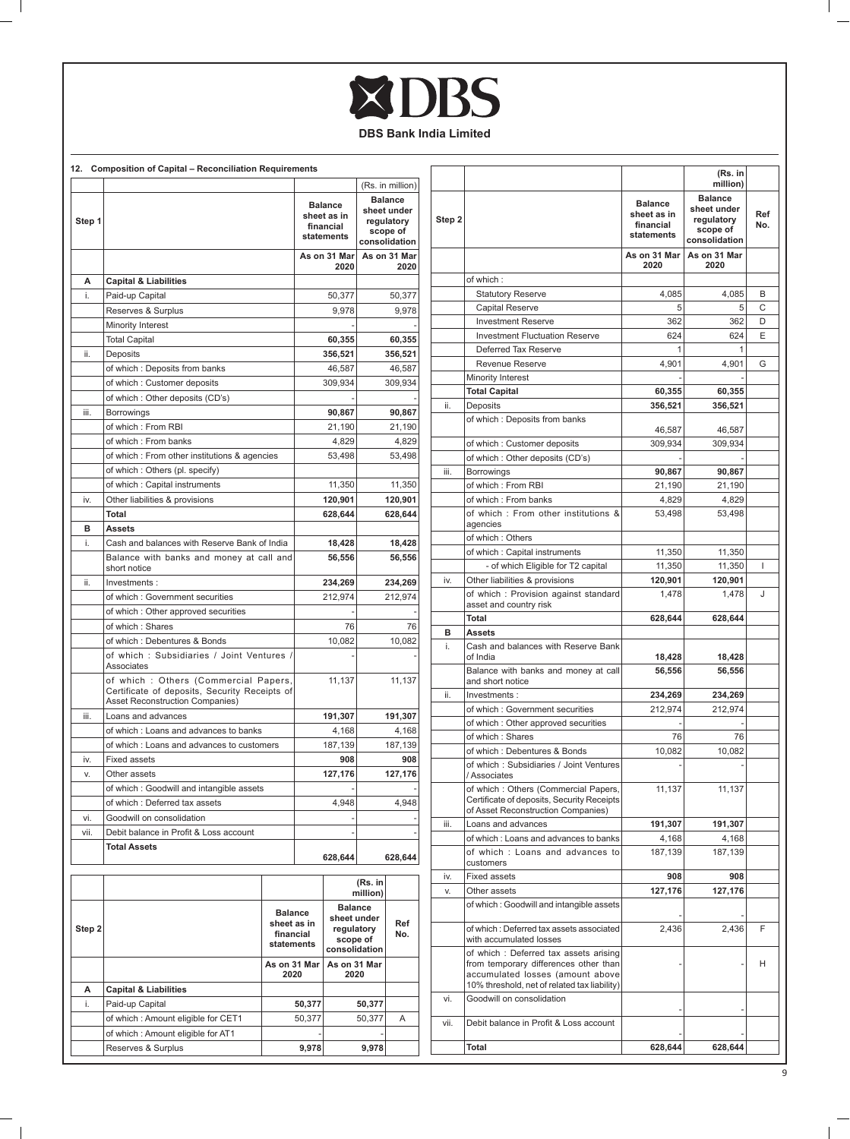# XDBS

# **DBS Bank India Limited**

| 12.    | <b>Composition of Capital - Reconciliation Requirements</b>                                                              |                                                                           |                                                   |                                                                          |                                                                          |                      |
|--------|--------------------------------------------------------------------------------------------------------------------------|---------------------------------------------------------------------------|---------------------------------------------------|--------------------------------------------------------------------------|--------------------------------------------------------------------------|----------------------|
|        |                                                                                                                          |                                                                           |                                                   |                                                                          |                                                                          | (Rs. in million)     |
| Step 1 |                                                                                                                          |                                                                           | Balance<br>sheet as in<br>financial<br>statements |                                                                          | <b>Balance</b><br>sheet under<br>regulatory<br>scope of<br>consolidation |                      |
|        |                                                                                                                          |                                                                           |                                                   | As on 31 Mar<br>2020                                                     |                                                                          | As on 31 Mar<br>2020 |
| А      | <b>Capital &amp; Liabilities</b>                                                                                         |                                                                           |                                                   |                                                                          |                                                                          |                      |
| i.     | Paid-up Capital                                                                                                          |                                                                           |                                                   | 50,377                                                                   |                                                                          | 50,377               |
|        | Reserves & Surplus                                                                                                       |                                                                           |                                                   | 9,978                                                                    |                                                                          | 9.978                |
|        | Minority Interest                                                                                                        |                                                                           |                                                   |                                                                          |                                                                          |                      |
|        | <b>Total Capital</b>                                                                                                     |                                                                           |                                                   | 60,355                                                                   |                                                                          | 60,355               |
| ii.    | Deposits                                                                                                                 |                                                                           |                                                   | 356,521                                                                  |                                                                          | 356,521              |
|        | of which: Deposits from banks                                                                                            |                                                                           |                                                   | 46,587                                                                   |                                                                          | 46,587               |
|        | of which: Customer deposits                                                                                              |                                                                           |                                                   | 309,934                                                                  |                                                                          | 309,934              |
|        | of which: Other deposits (CD's)                                                                                          |                                                                           |                                                   |                                                                          |                                                                          |                      |
| iii.   | Borrowings                                                                                                               |                                                                           |                                                   | 90,867                                                                   |                                                                          | 90,867               |
|        | of which: From RBI                                                                                                       |                                                                           |                                                   | 21,190                                                                   |                                                                          | 21,190               |
|        | of which: From banks                                                                                                     |                                                                           |                                                   | 4,829                                                                    |                                                                          | 4,829                |
|        | of which: From other institutions & agencies                                                                             |                                                                           |                                                   | 53.498                                                                   |                                                                          | 53,498               |
|        | of which: Others (pl. specify)                                                                                           |                                                                           |                                                   |                                                                          |                                                                          |                      |
|        | of which: Capital instruments                                                                                            |                                                                           |                                                   | 11,350                                                                   |                                                                          | 11,350               |
| iv.    | Other liabilities & provisions                                                                                           |                                                                           |                                                   | 120,901                                                                  |                                                                          | 120,901              |
|        | Total                                                                                                                    |                                                                           |                                                   | 628,644                                                                  |                                                                          | 628,644              |
| в      | Assets                                                                                                                   |                                                                           |                                                   |                                                                          |                                                                          |                      |
| i.     | Cash and balances with Reserve Bank of India                                                                             |                                                                           |                                                   | 18,428                                                                   |                                                                          | 18,428               |
|        | Balance with banks and money at call and<br>short notice                                                                 |                                                                           |                                                   | 56,556                                                                   |                                                                          | 56,556               |
| ii.    | Investments:                                                                                                             |                                                                           |                                                   | 234,269                                                                  |                                                                          | 234,269              |
|        | of which: Government securities                                                                                          |                                                                           | 212,974                                           |                                                                          |                                                                          | 212,974              |
|        | of which: Other approved securities                                                                                      |                                                                           |                                                   |                                                                          |                                                                          |                      |
|        | of which: Shares                                                                                                         |                                                                           | 76                                                |                                                                          | 76                                                                       |                      |
|        | of which: Debentures & Bonds                                                                                             |                                                                           |                                                   | 10,082                                                                   |                                                                          | 10,082               |
|        | of which: Subsidiaries / Joint Ventures /<br>Associates                                                                  |                                                                           |                                                   |                                                                          |                                                                          |                      |
|        | of which: Others (Commercial Papers,<br>Certificate of deposits, Security Receipts of<br>Asset Reconstruction Companies) |                                                                           | 11,137                                            |                                                                          | 11,137                                                                   |                      |
| iii.   | Loans and advances                                                                                                       |                                                                           |                                                   | 191,307                                                                  |                                                                          | 191,307              |
|        | of which: Loans and advances to banks                                                                                    |                                                                           | 4,168                                             |                                                                          | 4,168                                                                    |                      |
|        | of which: Loans and advances to customers                                                                                |                                                                           |                                                   | 187,139                                                                  | 187,139                                                                  |                      |
| iv.    | <b>Fixed assets</b>                                                                                                      |                                                                           | 908                                               |                                                                          | 908                                                                      |                      |
| V.     | Other assets                                                                                                             |                                                                           |                                                   | 127,176                                                                  |                                                                          | 127,176              |
|        | of which: Goodwill and intangible assets                                                                                 |                                                                           |                                                   |                                                                          |                                                                          |                      |
|        | of which : Deferred tax assets                                                                                           |                                                                           |                                                   | 4,948                                                                    |                                                                          | 4,948                |
| vi.    | Goodwill on consolidation                                                                                                |                                                                           |                                                   |                                                                          |                                                                          |                      |
| vii.   | Debit balance in Profit & Loss account                                                                                   |                                                                           |                                                   |                                                                          |                                                                          |                      |
|        | <b>Total Assets</b>                                                                                                      |                                                                           |                                                   | 628,644                                                                  |                                                                          | 628,644              |
|        |                                                                                                                          |                                                                           |                                                   |                                                                          | (Rs. in<br>million)                                                      |                      |
| Step 2 |                                                                                                                          | Balance<br>sheet as in<br>financial<br>statements<br>As on 31 Mar<br>2020 |                                                   | <b>Balance</b><br>sheet under<br>regulatory<br>scope of<br>consolidation |                                                                          | Ref<br>No.           |
|        |                                                                                                                          |                                                                           |                                                   |                                                                          | As on 31 Mar<br>2020                                                     |                      |
| А      | <b>Capital &amp; Liabilities</b>                                                                                         |                                                                           |                                                   |                                                                          |                                                                          |                      |
| i.     | Paid-up Capital                                                                                                          |                                                                           | 50,377                                            |                                                                          | 50,377                                                                   |                      |
|        | of which : Amount eligible for CET1                                                                                      |                                                                           | 50,377                                            |                                                                          | 50,377                                                                   | Α                    |
|        | of which: Amount eligible for AT1                                                                                        |                                                                           |                                                   |                                                                          |                                                                          |                      |
|        | Reserves & Surplus                                                                                                       |                                                                           | 9,978                                             |                                                                          | 9,978                                                                    |                      |

 $=$   $\overline{1}$ 

|        |                                                                                                                                                                    |                                                   | (Rs. in<br>million)                                                      |            |
|--------|--------------------------------------------------------------------------------------------------------------------------------------------------------------------|---------------------------------------------------|--------------------------------------------------------------------------|------------|
| Step 2 |                                                                                                                                                                    | Balance<br>sheet as in<br>financial<br>statements | <b>Balance</b><br>sheet under<br>regulatory<br>scope of<br>consolidation | Ref<br>No. |
|        |                                                                                                                                                                    | As on 31 Mar<br>2020                              | As on 31 Mar<br>2020                                                     |            |
|        | of which:                                                                                                                                                          |                                                   |                                                                          |            |
|        | <b>Statutory Reserve</b>                                                                                                                                           | 4,085                                             | 4,085                                                                    | в          |
|        | <b>Capital Reserve</b>                                                                                                                                             | 5                                                 | 5                                                                        | С          |
|        | <b>Investment Reserve</b>                                                                                                                                          | 362                                               | 362                                                                      | D          |
|        | <b>Investment Fluctuation Reserve</b>                                                                                                                              | 624                                               | 624                                                                      | Ε          |
|        | Deferred Tax Reserve                                                                                                                                               | 1                                                 | 1                                                                        |            |
|        | Revenue Reserve                                                                                                                                                    | 4,901                                             | 4,901                                                                    | G          |
|        | Minority Interest                                                                                                                                                  |                                                   |                                                                          |            |
|        | <b>Total Capital</b>                                                                                                                                               | 60,355                                            | 60,355                                                                   |            |
| ii.    | Deposits                                                                                                                                                           | 356,521                                           | 356,521                                                                  |            |
|        | of which: Deposits from banks                                                                                                                                      |                                                   |                                                                          |            |
|        |                                                                                                                                                                    | 46,587                                            | 46,587                                                                   |            |
|        | of which: Customer deposits                                                                                                                                        | 309,934                                           | 309,934                                                                  |            |
|        | of which: Other deposits (CD's)                                                                                                                                    |                                                   |                                                                          |            |
| iii.   | Borrowings                                                                                                                                                         | 90,867                                            | 90,867                                                                   |            |
|        | of which: From RBI                                                                                                                                                 | 21,190                                            | 21,190                                                                   |            |
|        | of which: From banks                                                                                                                                               | 4,829                                             | 4,829                                                                    |            |
|        | of which: From other institutions &                                                                                                                                | 53,498                                            | 53,498                                                                   |            |
|        | agencies                                                                                                                                                           |                                                   |                                                                          |            |
|        | of which: Others                                                                                                                                                   |                                                   |                                                                          |            |
|        | of which: Capital instruments                                                                                                                                      | 11,350                                            | 11,350                                                                   |            |
|        | - of which Eligible for T2 capital                                                                                                                                 | 11,350                                            | 11,350                                                                   | T          |
| iv.    | Other liabilities & provisions                                                                                                                                     | 120,901                                           | 120,901                                                                  |            |
|        | of which: Provision against standard                                                                                                                               | 1,478                                             | 1,478                                                                    | J          |
|        | asset and country risk                                                                                                                                             |                                                   |                                                                          |            |
|        | <b>Total</b>                                                                                                                                                       | 628,644                                           | 628,644                                                                  |            |
| в      | <b>Assets</b>                                                                                                                                                      |                                                   |                                                                          |            |
| i.     | Cash and balances with Reserve Bank                                                                                                                                |                                                   |                                                                          |            |
|        | of India                                                                                                                                                           | 18,428                                            | 18,428                                                                   |            |
|        | Balance with banks and money at call<br>and short notice                                                                                                           | 56,556                                            | 56,556                                                                   |            |
| ii.    | Investments:                                                                                                                                                       | 234,269                                           | 234,269                                                                  |            |
|        | of which: Government securities                                                                                                                                    | 212,974                                           | 212,974                                                                  |            |
|        | of which: Other approved securities                                                                                                                                |                                                   |                                                                          |            |
|        | of which: Shares                                                                                                                                                   | 76                                                | 76                                                                       |            |
|        | of which: Debentures & Bonds                                                                                                                                       | 10,082                                            | 10,082                                                                   |            |
|        | of which: Subsidiaries / Joint Ventures<br>/ Associates                                                                                                            |                                                   |                                                                          |            |
|        | of which: Others (Commercial Papers,<br>Certificate of deposits, Security Receipts<br>of Asset Reconstruction Companies)                                           | 11,137                                            | 11,137                                                                   |            |
| Ш.     | Loans and advances                                                                                                                                                 | 191,307                                           | 191,307                                                                  |            |
|        | of which: Loans and advances to banks                                                                                                                              | 4,168                                             | 4,168                                                                    |            |
|        | of which : Loans and advances to<br>customers                                                                                                                      | 187,139                                           | 187,139                                                                  |            |
| iv.    | <b>Fixed assets</b>                                                                                                                                                | 908                                               | 908                                                                      |            |
| V.     | Other assets                                                                                                                                                       | 127,176                                           | 127,176                                                                  |            |
|        | of which: Goodwill and intangible assets                                                                                                                           |                                                   |                                                                          |            |
|        | of which: Deferred tax assets associated<br>with accumulated losses                                                                                                | 2,436                                             | 2,436                                                                    | F          |
|        | of which: Deferred tax assets arising<br>from temporary differences other than<br>accumulated losses (amount above<br>10% threshold, net of related tax liability) |                                                   |                                                                          | н          |
| vi.    | Goodwill on consolidation                                                                                                                                          |                                                   |                                                                          |            |
| vii.   | Debit balance in Profit & Loss account                                                                                                                             |                                                   |                                                                          |            |
|        | Total                                                                                                                                                              | 628,644                                           | 628,644                                                                  |            |